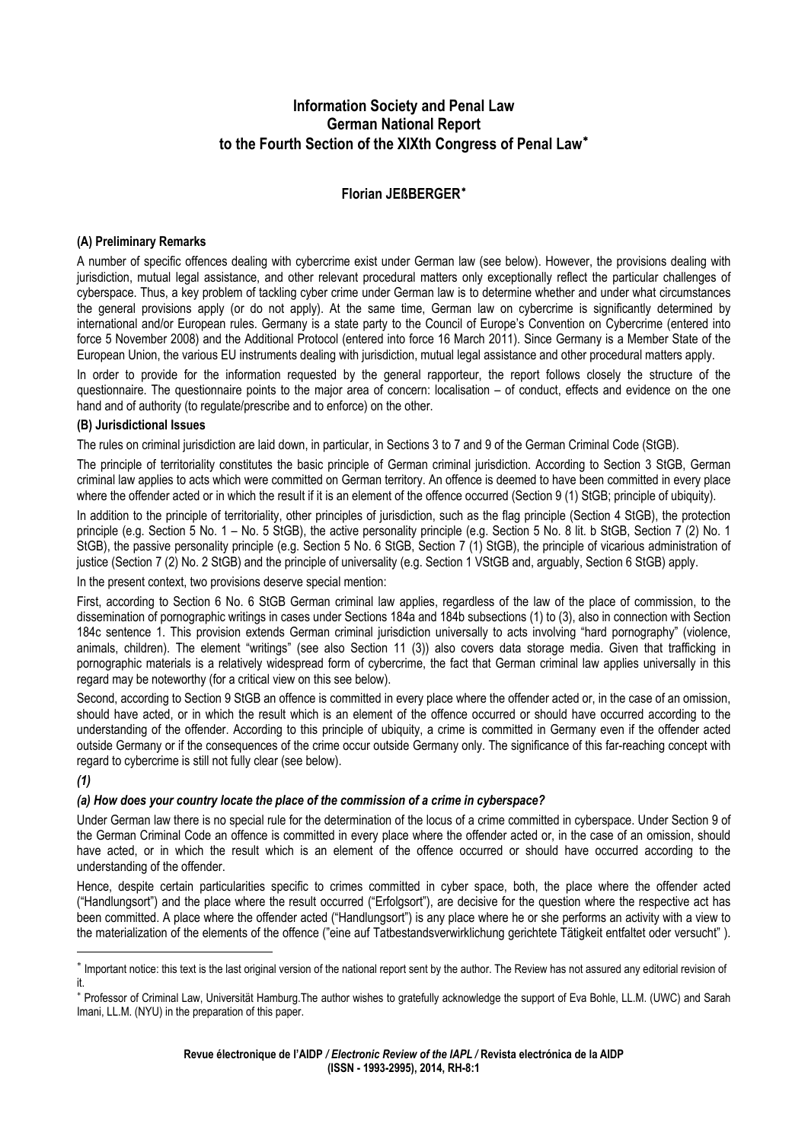# **Information Society and Penal Law German National Report to the Fourth Section of the XIXth Congress of Penal Law**[∗](#page-0-0)

# **Florian JEßBERGER**[∗](#page-0-1)

#### **(A) Preliminary Remarks**

A number of specific offences dealing with cybercrime exist under German law (see below). However, the provisions dealing with jurisdiction, mutual legal assistance, and other relevant procedural matters only exceptionally reflect the particular challenges of cyberspace. Thus, a key problem of tackling cyber crime under German law is to determine whether and under what circumstances the general provisions apply (or do not apply). At the same time, German law on cybercrime is significantly determined by international and/or European rules. Germany is a state party to the Council of Europe's Convention on Cybercrime (entered into force 5 November 2008) and the Additional Protocol (entered into force 16 March 2011). Since Germany is a Member State of the European Union, the various EU instruments dealing with jurisdiction, mutual legal assistance and other procedural matters apply.

In order to provide for the information requested by the general rapporteur, the report follows closely the structure of the questionnaire. The questionnaire points to the major area of concern: localisation – of conduct, effects and evidence on the one hand and of authority (to regulate/prescribe and to enforce) on the other.

#### **(B) Jurisdictional Issues**

The rules on criminal jurisdiction are laid down, in particular, in Sections 3 to 7 and 9 of the German Criminal Code (StGB).

The principle of territoriality constitutes the basic principle of German criminal jurisdiction. According to Section 3 StGB, German criminal law applies to acts which were committed on German territory. An offence is deemed to have been committed in every place where the offender acted or in which the result if it is an element of the offence occurred (Section 9 (1) StGB; principle of ubiquity).

In addition to the principle of territoriality, other principles of jurisdiction, such as the flag principle (Section 4 StGB), the protection principle (e.g. Section 5 No. 1 – No. 5 StGB), the active personality principle (e.g. Section 5 No. 8 lit. b StGB, Section 7 (2) No. 1 StGB), the passive personality principle (e.g. Section 5 No. 6 StGB, Section 7 (1) StGB), the principle of vicarious administration of justice (Section 7 (2) No. 2 StGB) and the principle of universality (e.g. Section 1 VStGB and, arguably, Section 6 StGB) apply.

In the present context, two provisions deserve special mention:

First, according to Section 6 No. 6 StGB German criminal law applies, regardless of the law of the place of commission, to the dissemination of pornographic writings in cases under Sections 184a and 184b subsections (1) to (3), also in connection with Section 184c sentence 1. This provision extends German criminal jurisdiction universally to acts involving "hard pornography" (violence, animals, children). The element "writings" (see also Section 11 (3)) also covers data storage media. Given that trafficking in pornographic materials is a relatively widespread form of cybercrime, the fact that German criminal law applies universally in this regard may be noteworthy (for a critical view on this see below).

Second, according to Section 9 StGB an offence is committed in every place where the offender acted or, in the case of an omission, should have acted, or in which the result which is an element of the offence occurred or should have occurred according to the understanding of the offender. According to this principle of ubiquity, a crime is committed in Germany even if the offender acted outside Germany or if the consequences of the crime occur outside Germany only. The significance of this far-reaching concept with regard to cybercrime is still not fully clear (see below).

### *(1)*

#### *(a) How does your country locate the place of the commission of a crime in cyberspace?*

Under German law there is no special rule for the determination of the locus of a crime committed in cyberspace. Under Section 9 of the German Criminal Code an offence is committed in every place where the offender acted or, in the case of an omission, should have acted, or in which the result which is an element of the offence occurred or should have occurred according to the understanding of the offender.

Hence, despite certain particularities specific to crimes committed in cyber space, both, the place where the offender acted ("Handlungsort") and the place where the result occurred ("Erfolgsort"), are decisive for the question where the respective act has been committed. A place where the offender acted ("Handlungsort") is any place where he or she performs an activity with a view to the materialization of the elements of the offence ("eine auf Tatbestandsverwirklichung gerichtete Tätigkeit entfaltet oder versucht" ).

<span id="page-0-0"></span><sup>∗</sup> Important notice: this text is the last original version of the national report sent by the author. The Review has not assured any editorial revision of it.

<span id="page-0-1"></span><sup>∗</sup> Professor of Criminal Law, Universität Hamburg.The author wishes to gratefully acknowledge the support of Eva Bohle, LL.M. (UWC) and Sarah Imani, LL.M. (NYU) in the preparation of this paper.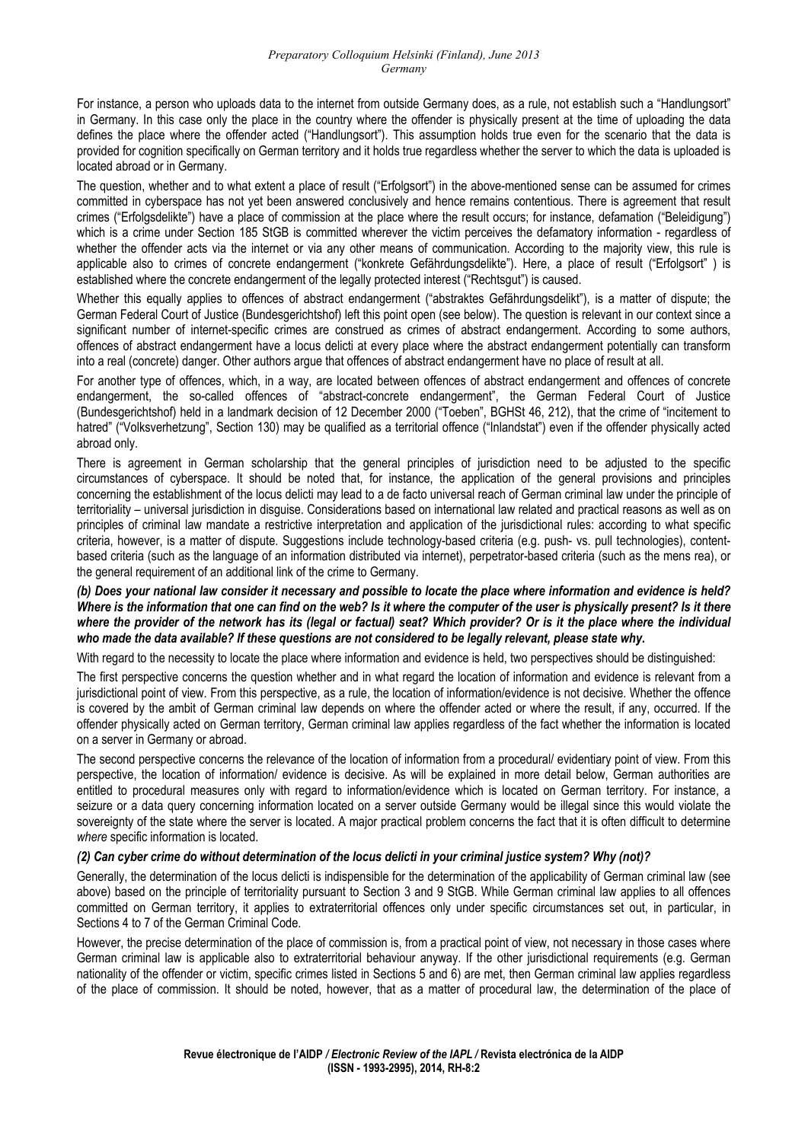For instance, a person who uploads data to the internet from outside Germany does, as a rule, not establish such a "Handlungsort" in Germany. In this case only the place in the country where the offender is physically present at the time of uploading the data defines the place where the offender acted ("Handlungsort"). This assumption holds true even for the scenario that the data is provided for cognition specifically on German territory and it holds true regardless whether the server to which the data is uploaded is located abroad or in Germany.

The question, whether and to what extent a place of result ("Erfolgsort") in the above-mentioned sense can be assumed for crimes committed in cyberspace has not yet been answered conclusively and hence remains contentious. There is agreement that result crimes ("Erfolgsdelikte") have a place of commission at the place where the result occurs; for instance, defamation ("Beleidigung") which is a crime under Section 185 StGB is committed wherever the victim perceives the defamatory information - regardless of whether the offender acts via the internet or via any other means of communication. According to the majority view, this rule is applicable also to crimes of concrete endangerment ("konkrete Gefährdungsdelikte"). Here, a place of result ("Erfolgsort" ) is established where the concrete endangerment of the legally protected interest ("Rechtsgut") is caused.

Whether this equally applies to offences of abstract endangerment ("abstraktes Gefährdungsdelikt"), is a matter of dispute; the German Federal Court of Justice (Bundesgerichtshof) left this point open (see below). The question is relevant in our context since a significant number of internet-specific crimes are construed as crimes of abstract endangerment. According to some authors, offences of abstract endangerment have a locus delicti at every place where the abstract endangerment potentially can transform into a real (concrete) danger. Other authors argue that offences of abstract endangerment have no place of result at all.

For another type of offences, which, in a way, are located between offences of abstract endangerment and offences of concrete endangerment, the so-called offences of "abstract-concrete endangerment", the German Federal Court of Justice (Bundesgerichtshof) held in a landmark decision of 12 December 2000 ("Toeben", BGHSt 46, 212), that the crime of "incitement to hatred" ("Volksverhetzung", Section 130) may be qualified as a territorial offence ("Inlandstat") even if the offender physically acted abroad only.

There is agreement in German scholarship that the general principles of jurisdiction need to be adjusted to the specific circumstances of cyberspace. It should be noted that, for instance, the application of the general provisions and principles concerning the establishment of the locus delicti may lead to a de facto universal reach of German criminal law under the principle of territoriality – universal jurisdiction in disguise. Considerations based on international law related and practical reasons as well as on principles of criminal law mandate a restrictive interpretation and application of the jurisdictional rules: according to what specific criteria, however, is a matter of dispute. Suggestions include technology-based criteria (e.g. push- vs. pull technologies), contentbased criteria (such as the language of an information distributed via internet), perpetrator-based criteria (such as the mens rea), or the general requirement of an additional link of the crime to Germany.

#### *(b) Does your national law consider it necessary and possible to locate the place where information and evidence is held? Where is the information that one can find on the web? Is it where the computer of the user is physically present? Is it there where the provider of the network has its (legal or factual) seat? Which provider? Or is it the place where the individual who made the data available? If these questions are not considered to be legally relevant, please state why.*

With regard to the necessity to locate the place where information and evidence is held, two perspectives should be distinguished:

The first perspective concerns the question whether and in what regard the location of information and evidence is relevant from a jurisdictional point of view. From this perspective, as a rule, the location of information/evidence is not decisive. Whether the offence is covered by the ambit of German criminal law depends on where the offender acted or where the result, if any, occurred. If the offender physically acted on German territory, German criminal law applies regardless of the fact whether the information is located on a server in Germany or abroad.

The second perspective concerns the relevance of the location of information from a procedural/ evidentiary point of view. From this perspective, the location of information/ evidence is decisive. As will be explained in more detail below, German authorities are entitled to procedural measures only with regard to information/evidence which is located on German territory. For instance, a seizure or a data query concerning information located on a server outside Germany would be illegal since this would violate the sovereignty of the state where the server is located. A major practical problem concerns the fact that it is often difficult to determine *where* specific information is located.

#### *(2) Can cyber crime do without determination of the locus delicti in your criminal justice system? Why (not)?*

Generally, the determination of the locus delicti is indispensible for the determination of the applicability of German criminal law (see above) based on the principle of territoriality pursuant to Section 3 and 9 StGB. While German criminal law applies to all offences committed on German territory, it applies to extraterritorial offences only under specific circumstances set out, in particular, in Sections 4 to 7 of the German Criminal Code.

However, the precise determination of the place of commission is, from a practical point of view, not necessary in those cases where German criminal law is applicable also to extraterritorial behaviour anyway. If the other jurisdictional requirements (e.g. German nationality of the offender or victim, specific crimes listed in Sections 5 and 6) are met, then German criminal law applies regardless of the place of commission. It should be noted, however, that as a matter of procedural law, the determination of the place of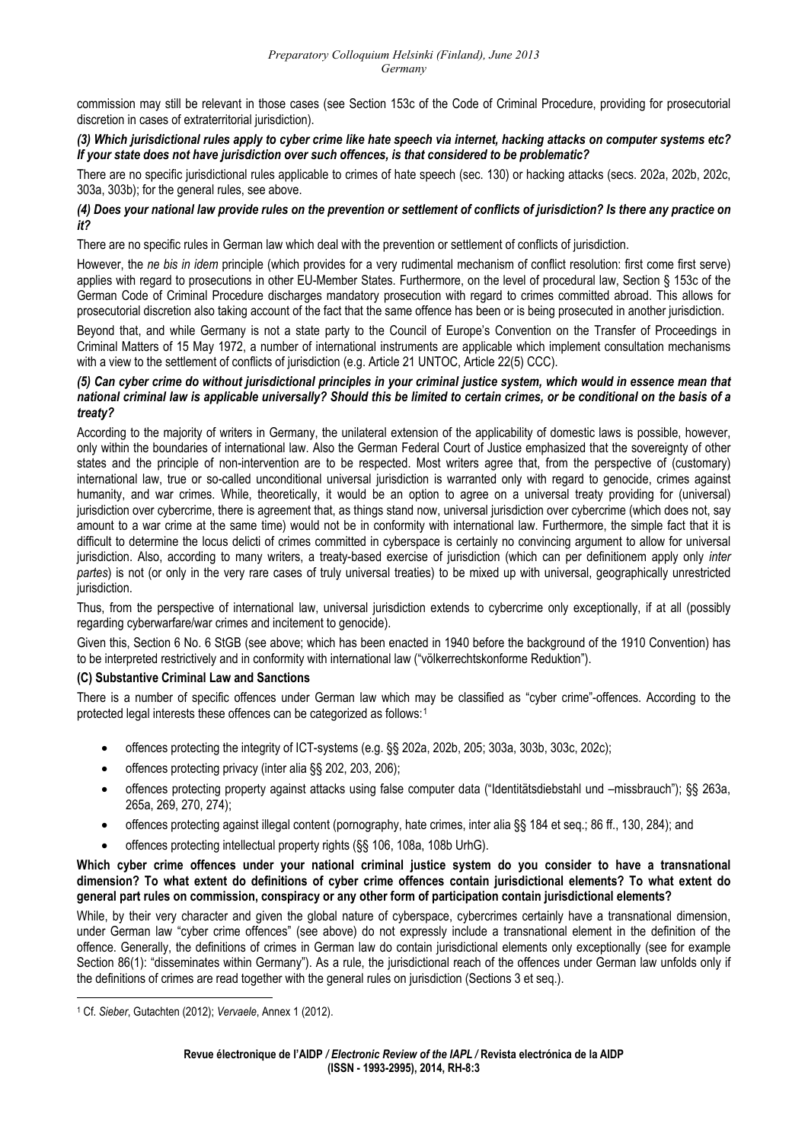commission may still be relevant in those cases (see Section 153c of the Code of Criminal Procedure, providing for prosecutorial discretion in cases of extraterritorial jurisdiction).

#### *(3) Which jurisdictional rules apply to cyber crime like hate speech via internet, hacking attacks on computer systems etc? If your state does not have jurisdiction over such offences, is that considered to be problematic?*

There are no specific jurisdictional rules applicable to crimes of hate speech (sec. 130) or hacking attacks (secs. 202a, 202b, 202c, 303a, 303b); for the general rules, see above.

#### *(4) Does your national law provide rules on the prevention or settlement of conflicts of jurisdiction? Is there any practice on it?*

There are no specific rules in German law which deal with the prevention or settlement of conflicts of jurisdiction.

However, the *ne bis in idem* principle (which provides for a very rudimental mechanism of conflict resolution: first come first serve) applies with regard to prosecutions in other EU-Member States. Furthermore, on the level of procedural law, Section § 153c of the German Code of Criminal Procedure discharges mandatory prosecution with regard to crimes committed abroad. This allows for prosecutorial discretion also taking account of the fact that the same offence has been or is being prosecuted in another jurisdiction.

Beyond that, and while Germany is not a state party to the Council of Europe's Convention on the Transfer of Proceedings in Criminal Matters of 15 May 1972, a number of international instruments are applicable which implement consultation mechanisms with a view to the settlement of conflicts of jurisdiction (e.g. Article 21 UNTOC, Article 22(5) CCC).

#### *(5) Can cyber crime do without jurisdictional principles in your criminal justice system, which would in essence mean that national criminal law is applicable universally? Should this be limited to certain crimes, or be conditional on the basis of a treaty?*

According to the majority of writers in Germany, the unilateral extension of the applicability of domestic laws is possible, however, only within the boundaries of international law. Also the German Federal Court of Justice emphasized that the sovereignty of other states and the principle of non-intervention are to be respected. Most writers agree that, from the perspective of (customary) international law, true or so-called unconditional universal jurisdiction is warranted only with regard to genocide, crimes against humanity, and war crimes. While, theoretically, it would be an option to agree on a universal treaty providing for (universal) jurisdiction over cybercrime, there is agreement that, as things stand now, universal jurisdiction over cybercrime (which does not, say amount to a war crime at the same time) would not be in conformity with international law. Furthermore, the simple fact that it is difficult to determine the locus delicti of crimes committed in cyberspace is certainly no convincing argument to allow for universal jurisdiction. Also, according to many writers, a treaty-based exercise of jurisdiction (which can per definitionem apply only *inter partes*) is not (or only in the very rare cases of truly universal treaties) to be mixed up with universal, geographically unrestricted jurisdiction.

Thus, from the perspective of international law, universal jurisdiction extends to cybercrime only exceptionally, if at all (possibly regarding cyberwarfare/war crimes and incitement to genocide).

Given this, Section 6 No. 6 StGB (see above; which has been enacted in 1940 before the background of the 1910 Convention) has to be interpreted restrictively and in conformity with international law ("völkerrechtskonforme Reduktion").

### **(C) Substantive Criminal Law and Sanctions**

There is a number of specific offences under German law which may be classified as "cyber crime"-offences. According to the protected legal interests these offences can be categorized as follows:[1](#page-2-0)

- offences protecting the integrity of ICT-systems (e.g. §§ 202a, 202b, 205; 303a, 303b, 303c, 202c);
- offences protecting privacy (inter alia §§ 202, 203, 206);
- offences protecting property against attacks using false computer data ("Identitätsdiebstahl und –missbrauch"); §§ 263a, 265a, 269, 270, 274);
- offences protecting against illegal content (pornography, hate crimes, inter alia §§ 184 et seg.; 86 ff., 130, 284); and
- offences protecting intellectual property rights (§§ 106, 108a, 108b UrhG).

**Which cyber crime offences under your national criminal justice system do you consider to have a transnational dimension? To what extent do definitions of cyber crime offences contain jurisdictional elements? To what extent do general part rules on commission, conspiracy or any other form of participation contain jurisdictional elements?** 

While, by their very character and given the global nature of cyberspace, cybercrimes certainly have a transnational dimension, under German law "cyber crime offences" (see above) do not expressly include a transnational element in the definition of the offence. Generally, the definitions of crimes in German law do contain jurisdictional elements only exceptionally (see for example Section 86(1): "disseminates within Germany"). As a rule, the jurisdictional reach of the offences under German law unfolds only if the definitions of crimes are read together with the general rules on jurisdiction (Sections 3 et seq.).

<span id="page-2-0"></span> 1 Cf. *Sieber*, Gutachten (2012); *Vervaele*, Annex 1 (2012).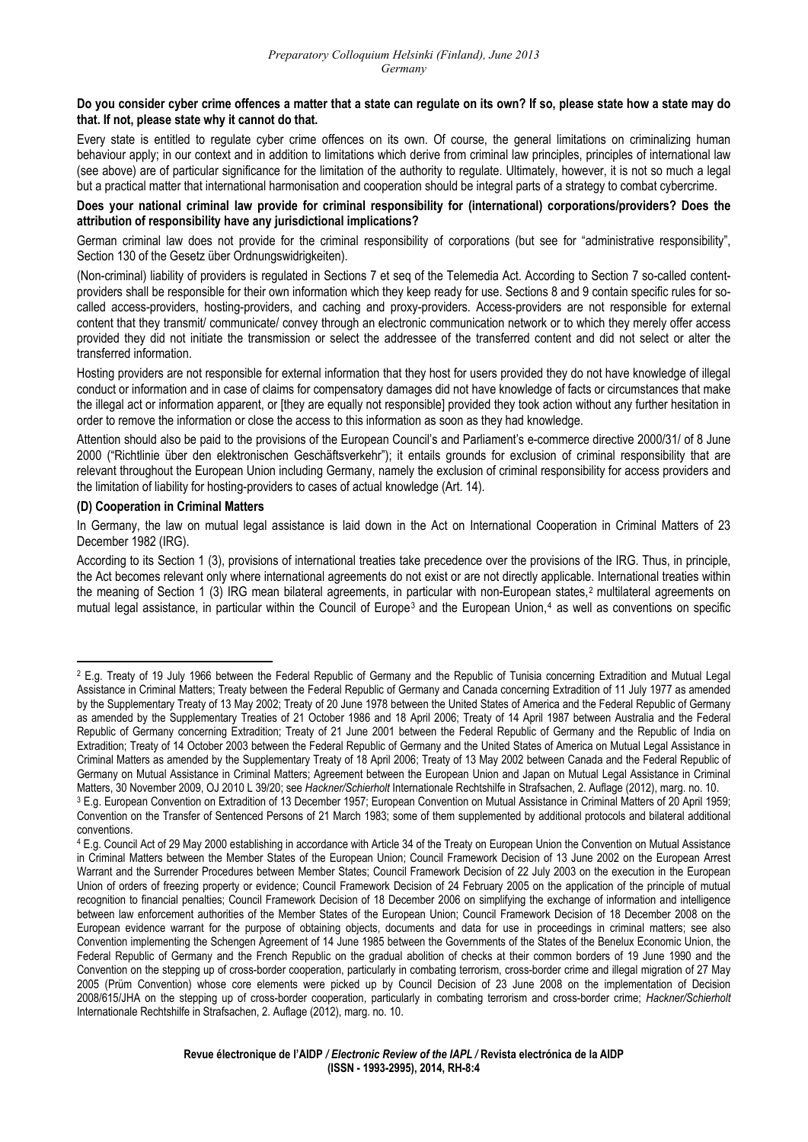#### **Do you consider cyber crime offences a matter that a state can regulate on its own? If so, please state how a state may do that. If not, please state why it cannot do that.**

Every state is entitled to regulate cyber crime offences on its own. Of course, the general limitations on criminalizing human behaviour apply; in our context and in addition to limitations which derive from criminal law principles, principles of international law (see above) are of particular significance for the limitation of the authority to regulate. Ultimately, however, it is not so much a legal but a practical matter that international harmonisation and cooperation should be integral parts of a strategy to combat cybercrime.

#### **Does your national criminal law provide for criminal responsibility for (international) corporations/providers? Does the attribution of responsibility have any jurisdictional implications?**

German criminal law does not provide for the criminal responsibility of corporations (but see for "administrative responsibility", Section 130 of the Gesetz über Ordnungswidrigkeiten).

(Non-criminal) liability of providers is regulated in Sections 7 et seq of the Telemedia Act. According to Section 7 so-called contentproviders shall be responsible for their own information which they keep ready for use. Sections 8 and 9 contain specific rules for socalled access-providers, hosting-providers, and caching and proxy-providers. Access-providers are not responsible for external content that they transmit/ communicate/ convey through an electronic communication network or to which they merely offer access provided they did not initiate the transmission or select the addressee of the transferred content and did not select or alter the transferred information.

Hosting providers are not responsible for external information that they host for users provided they do not have knowledge of illegal conduct or information and in case of claims for compensatory damages did not have knowledge of facts or circumstances that make the illegal act or information apparent, or [they are equally not responsible] provided they took action without any further hesitation in order to remove the information or close the access to this information as soon as they had knowledge.

Attention should also be paid to the provisions of the European Council's and Parliament's e-commerce directive 2000/31/ of 8 June 2000 ("Richtlinie über den elektronischen Geschäftsverkehr"); it entails grounds for exclusion of criminal responsibility that are relevant throughout the European Union including Germany, namely the exclusion of criminal responsibility for access providers and the limitation of liability for hosting-providers to cases of actual knowledge (Art. 14).

#### **(D) Cooperation in Criminal Matters**

In Germany, the law on mutual legal assistance is laid down in the Act on International Cooperation in Criminal Matters of 23 December 1982 (IRG).

According to its Section 1 (3), provisions of international treaties take precedence over the provisions of the IRG. Thus, in principle, the Act becomes relevant only where international agreements do not exist or are not directly applicable. International treaties within the meaning of Section 1 (3) IRG mean bilateral agreements, in particular with non-European states,[2](#page-3-0) multilateral agreements on mutual legal assistance, in particular within the Council of Europe<sup>[3](#page-3-1)</sup> and the European Union,<sup>[4](#page-3-2)</sup> as well as conventions on specific

<span id="page-3-0"></span><sup>&</sup>lt;sup>2</sup> E.g. Treaty of 19 July 1966 between the Federal Republic of Germany and the Republic of Tunisia concerning Extradition and Mutual Legal Assistance in Criminal Matters; Treaty between the Federal Republic of Germany and Canada concerning Extradition of 11 July 1977 as amended by the Supplementary Treaty of 13 May 2002; Treaty of 20 June 1978 between the United States of America and the Federal Republic of Germany as amended by the Supplementary Treaties of 21 October 1986 and 18 April 2006; Treaty of 14 April 1987 between Australia and the Federal Republic of Germany concerning Extradition; Treaty of 21 June 2001 between the Federal Republic of Germany and the Republic of India on Extradition; Treaty of 14 October 2003 between the Federal Republic of Germany and the United States of America on Mutual Legal Assistance in Criminal Matters as amended by the Supplementary Treaty of 18 April 2006; Treaty of 13 May 2002 between Canada and the Federal Republic of Germany on Mutual Assistance in Criminal Matters; Agreement between the European Union and Japan on Mutual Legal Assistance in Criminal

<span id="page-3-1"></span>Matters, 30 November 2009, OJ 2010 L 39/20; see Hackner/Schierholt Internationale Rechtshilfe in Strafsachen, 2. Auflage (2012), marg. no. 10.<br><sup>3</sup> E.g. European Convention on Extradition of 13 December 1957; European Conve Convention on the Transfer of Sentenced Persons of 21 March 1983; some of them supplemented by additional protocols and bilateral additional conventions.

<span id="page-3-2"></span><sup>4</sup> E.g. Council Act of 29 May 2000 establishing in accordance with Article 34 of the Treaty on European Union the Convention on Mutual Assistance in Criminal Matters between the Member States of the European Union; Council Framework Decision of 13 June 2002 on the European Arrest Warrant and the Surrender Procedures between Member States; Council Framework Decision of 22 July 2003 on the execution in the European Union of orders of freezing property or evidence; Council Framework Decision of 24 February 2005 on the application of the principle of mutual recognition to financial penalties; Council Framework Decision of 18 December 2006 on simplifying the exchange of information and intelligence between law enforcement authorities of the Member States of the European Union; Council Framework Decision of 18 December 2008 on the European evidence warrant for the purpose of obtaining objects, documents and data for use in proceedings in criminal matters; see also Convention implementing the Schengen Agreement of 14 June 1985 between the Governments of the States of the Benelux Economic Union, the Federal Republic of Germany and the French Republic on the gradual abolition of checks at their common borders of 19 June 1990 and the Convention on the stepping up of cross-border cooperation, particularly in combating terrorism, cross-border crime and illegal migration of 27 May 2005 (Prüm Convention) whose core elements were picked up by Council Decision of 23 June 2008 on the implementation of Decision 2008/615/JHA on the stepping up of cross-border cooperation, particularly in combating terrorism and cross-border crime; *Hackner/Schierholt*  Internationale Rechtshilfe in Strafsachen, 2. Auflage (2012), marg. no. 10.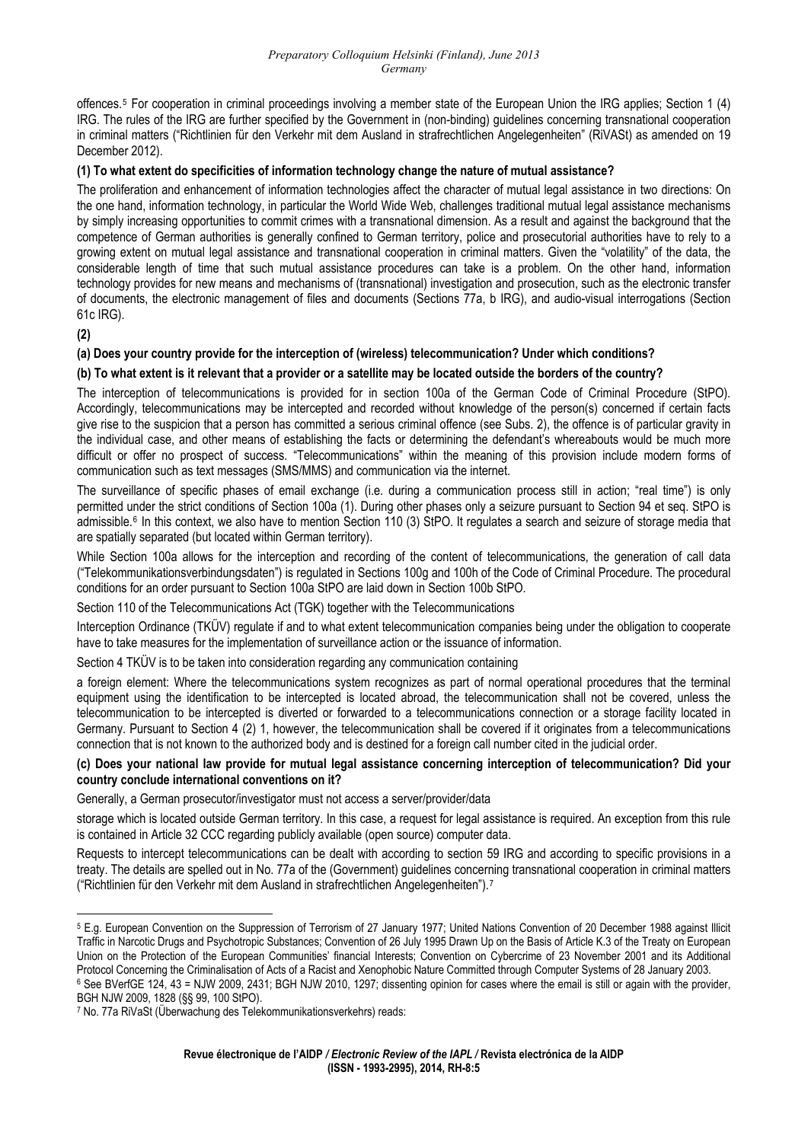offences.[5](#page-4-0) For cooperation in criminal proceedings involving a member state of the European Union the IRG applies; Section 1 (4) IRG. The rules of the IRG are further specified by the Government in (non-binding) guidelines concerning transnational cooperation in criminal matters ("Richtlinien für den Verkehr mit dem Ausland in strafrechtlichen Angelegenheiten" (RiVASt) as amended on 19 December 2012).

#### **(1) To what extent do specificities of information technology change the nature of mutual assistance?**

The proliferation and enhancement of information technologies affect the character of mutual legal assistance in two directions: On the one hand, information technology, in particular the World Wide Web, challenges traditional mutual legal assistance mechanisms by simply increasing opportunities to commit crimes with a transnational dimension. As a result and against the background that the competence of German authorities is generally confined to German territory, police and prosecutorial authorities have to rely to a growing extent on mutual legal assistance and transnational cooperation in criminal matters. Given the "volatility" of the data, the considerable length of time that such mutual assistance procedures can take is a problem. On the other hand, information technology provides for new means and mechanisms of (transnational) investigation and prosecution, such as the electronic transfer of documents, the electronic management of files and documents (Sections 77a, b IRG), and audio-visual interrogations (Section 61c IRG).

**(2)** 

# **(a) Does your country provide for the interception of (wireless) telecommunication? Under which conditions?**

### **(b) To what extent is it relevant that a provider or a satellite may be located outside the borders of the country?**

The interception of telecommunications is provided for in section 100a of the German Code of Criminal Procedure (StPO). Accordingly, telecommunications may be intercepted and recorded without knowledge of the person(s) concerned if certain facts give rise to the suspicion that a person has committed a serious criminal offence (see Subs. 2), the offence is of particular gravity in the individual case, and other means of establishing the facts or determining the defendant's whereabouts would be much more difficult or offer no prospect of success. "Telecommunications" within the meaning of this provision include modern forms of communication such as text messages (SMS/MMS) and communication via the internet.

The surveillance of specific phases of email exchange (i.e. during a communication process still in action; "real time") is only permitted under the strict conditions of Section 100a (1). During other phases only a seizure pursuant to Section 94 et seq. StPO is admissible.<sup>[6](#page-4-1)</sup> In this context, we also have to mention Section 110 (3) StPO. It regulates a search and seizure of storage media that are spatially separated (but located within German territory).

While Section 100a allows for the interception and recording of the content of telecommunications, the generation of call data ("Telekommunikationsverbindungsdaten") is regulated in Sections 100g and 100h of the Code of Criminal Procedure. The procedural conditions for an order pursuant to Section 100a StPO are laid down in Section 100b StPO.

Section 110 of the Telecommunications Act (TGK) together with the Telecommunications

Interception Ordinance (TKÜV) regulate if and to what extent telecommunication companies being under the obligation to cooperate have to take measures for the implementation of surveillance action or the issuance of information.

Section 4 TKÜV is to be taken into consideration regarding any communication containing

a foreign element: Where the telecommunications system recognizes as part of normal operational procedures that the terminal equipment using the identification to be intercepted is located abroad, the telecommunication shall not be covered, unless the telecommunication to be intercepted is diverted or forwarded to a telecommunications connection or a storage facility located in Germany. Pursuant to Section 4 (2) 1, however, the telecommunication shall be covered if it originates from a telecommunications connection that is not known to the authorized body and is destined for a foreign call number cited in the judicial order.

#### **(c) Does your national law provide for mutual legal assistance concerning interception of telecommunication? Did your country conclude international conventions on it?**

Generally, a German prosecutor/investigator must not access a server/provider/data

storage which is located outside German territory. In this case, a request for legal assistance is required. An exception from this rule is contained in Article 32 CCC regarding publicly available (open source) computer data.

Requests to intercept telecommunications can be dealt with according to section 59 IRG and according to specific provisions in a treaty. The details are spelled out in No. 77a of the (Government) guidelines concerning transnational cooperation in criminal matters ("Richtlinien für den Verkehr mit dem Ausland in strafrechtlichen Angelegenheiten").[7](#page-4-2)

<span id="page-4-0"></span> 5 E.g. European Convention on the Suppression of Terrorism of 27 January 1977; United Nations Convention of 20 December 1988 against Illicit Traffic in Narcotic Drugs and Psychotropic Substances; Convention of 26 July 1995 Drawn Up on the Basis of Article K.3 of the Treaty on European Union on the Protection of the European Communities' financial Interests; Convention on Cybercrime of 23 November 2001 and its Additional Protocol Concerning the Criminalisation of Acts of a Racist and Xenophobic Nature Committed through Computer Systems of 28 January 2003.

<span id="page-4-1"></span><sup>6</sup> See BVerfGE 124, 43 = NJW 2009, 2431; BGH NJW 2010, 1297; dissenting opinion for cases where the email is still or again with the provider, BGH NJW 2009, 1828 (§§ 99, 100 StPO).

<span id="page-4-2"></span><sup>7</sup> No. 77a RiVaSt (Überwachung des Telekommunikationsverkehrs) reads: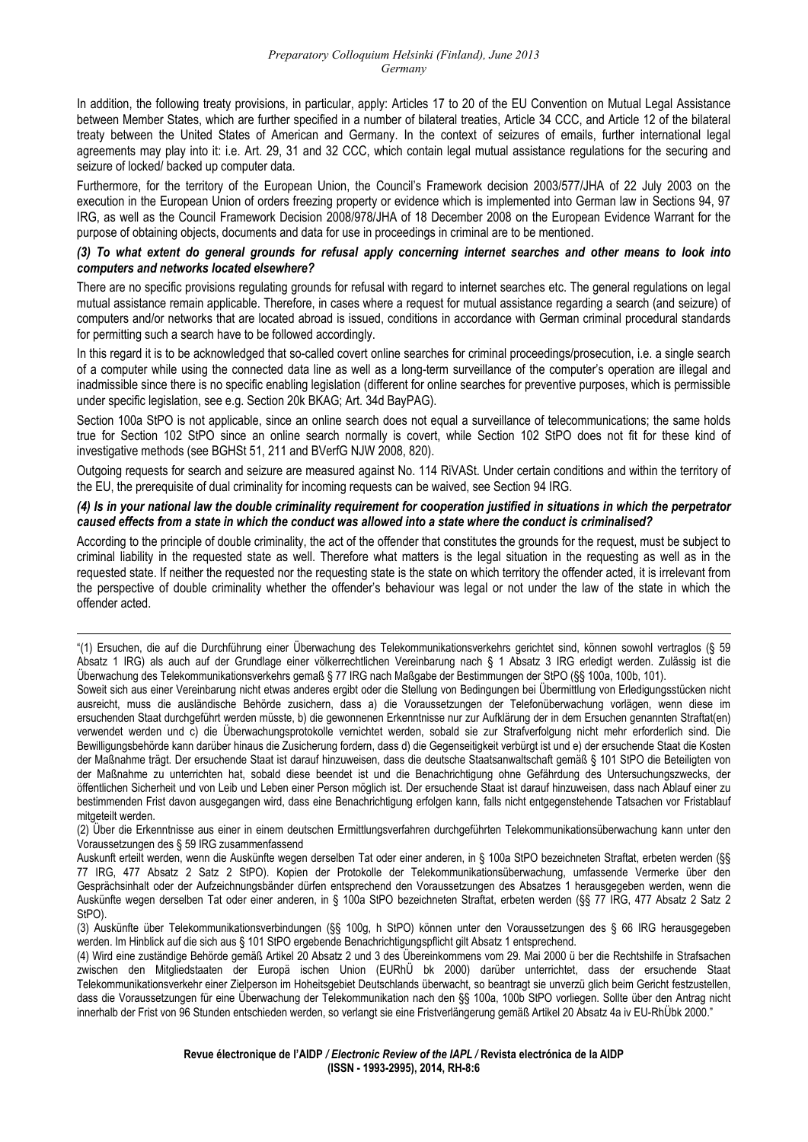In addition, the following treaty provisions, in particular, apply: Articles 17 to 20 of the EU Convention on Mutual Legal Assistance between Member States, which are further specified in a number of bilateral treaties, Article 34 CCC, and Article 12 of the bilateral treaty between the United States of American and Germany. In the context of seizures of emails, further international legal agreements may play into it: i.e. Art. 29, 31 and 32 CCC, which contain legal mutual assistance regulations for the securing and seizure of locked/ backed up computer data.

Furthermore, for the territory of the European Union, the Council's Framework decision 2003/577/JHA of 22 July 2003 on the execution in the European Union of orders freezing property or evidence which is implemented into German law in Sections 94, 97 IRG, as well as the Council Framework Decision 2008/978/JHA of 18 December 2008 on the European Evidence Warrant for the purpose of obtaining objects, documents and data for use in proceedings in criminal are to be mentioned.

#### *(3) To what extent do general grounds for refusal apply concerning internet searches and other means to look into computers and networks located elsewhere?*

There are no specific provisions regulating grounds for refusal with regard to internet searches etc. The general regulations on legal mutual assistance remain applicable. Therefore, in cases where a request for mutual assistance regarding a search (and seizure) of computers and/or networks that are located abroad is issued, conditions in accordance with German criminal procedural standards for permitting such a search have to be followed accordingly.

In this regard it is to be acknowledged that so-called covert online searches for criminal proceedings/prosecution, i.e. a single search of a computer while using the connected data line as well as a long-term surveillance of the computer's operation are illegal and inadmissible since there is no specific enabling legislation (different for online searches for preventive purposes, which is permissible under specific legislation, see e.g. Section 20k BKAG; Art. 34d BayPAG).

Section 100a StPO is not applicable, since an online search does not equal a surveillance of telecommunications; the same holds true for Section 102 StPO since an online search normally is covert, while Section 102 StPO does not fit for these kind of investigative methods (see BGHSt 51, 211 and BVerfG NJW 2008, 820).

Outgoing requests for search and seizure are measured against No. 114 RiVASt. Under certain conditions and within the territory of the EU, the prerequisite of dual criminality for incoming requests can be waived, see Section 94 IRG.

#### *(4) Is in your national law the double criminality requirement for cooperation justified in situations in which the perpetrator caused effects from a state in which the conduct was allowed into a state where the conduct is criminalised?*

According to the principle of double criminality, the act of the offender that constitutes the grounds for the request, must be subject to criminal liability in the requested state as well. Therefore what matters is the legal situation in the requesting as well as in the requested state. If neither the requested nor the requesting state is the state on which territory the offender acted, it is irrelevant from the perspective of double criminality whether the offender's behaviour was legal or not under the law of the state in which the offender acted.

(2) Über die Erkenntnisse aus einer in einem deutschen Ermittlungsverfahren durchgeführten Telekommunikationsüberwachung kann unter den Voraussetzungen des § 59 IRG zusammenfassend

Auskunft erteilt werden, wenn die Auskünfte wegen derselben Tat oder einer anderen, in § 100a StPO bezeichneten Straftat, erbeten werden (§§ 77 IRG, 477 Absatz 2 Satz 2 StPO). Kopien der Protokolle der Telekommunikationsüberwachung, umfassende Vermerke über den Gesprächsinhalt oder der Aufzeichnungsbänder dürfen entsprechend den Voraussetzungen des Absatzes 1 herausgegeben werden, wenn die Auskünfte wegen derselben Tat oder einer anderen, in § 100a StPO bezeichneten Straftat, erbeten werden (§§ 77 IRG, 477 Absatz 2 Satz 2 StPO).

(3) Auskünfte über Telekommunikationsverbindungen (§§ 100g, h StPO) können unter den Voraussetzungen des § 66 IRG herausgegeben werden. Im Hinblick auf die sich aus § 101 StPO ergebende Benachrichtigungspflicht gilt Absatz 1 entsprechend.

(4) Wird eine zuständige Behörde gemäß Artikel 20 Absatz 2 und 3 des Übereinkommens vom 29. Mai 2000 ü ber die Rechtshilfe in Strafsachen zwischen den Mitgliedstaaten der Europä ischen Union (EURhÜ bk 2000) darüber unterrichtet, dass der ersuchende Staat Telekommunikationsverkehr einer Zielperson im Hoheitsgebiet Deutschlands überwacht, so beantragt sie unverzü glich beim Gericht festzustellen, dass die Voraussetzungen für eine Überwachung der Telekommunikation nach den §§ 100a, 100b StPO vorliegen. Sollte über den Antrag nicht innerhalb der Frist von 96 Stunden entschieden werden, so verlangt sie eine Fristverlängerung gemäß Artikel 20 Absatz 4a iv EU-RhÜbk 2000."

<sup>&</sup>lt;u> 1989 - Andrea Santa Andrea Andrea Andrea Andrea Andrea Andrea Andrea Andrea Andrea Andrea Andrea Andrea Andr</u> "(1) Ersuchen, die auf die Durchführung einer Überwachung des Telekommunikationsverkehrs gerichtet sind, können sowohl vertraglos (§ 59 Absatz 1 IRG) als auch auf der Grundlage einer völkerrechtlichen Vereinbarung nach § 1 Absatz 3 IRG erledigt werden. Zulässig ist die Überwachung des Telekommunikationsverkehrs gemaß § 77 IRG nach Maßgabe der Bestimmungen der StPO (§§ 100a, 100b, 101).

Soweit sich aus einer Vereinbarung nicht etwas anderes ergibt oder die Stellung von Bedingungen bei Übermittlung von Erledigungsstücken nicht ausreicht, muss die ausländische Behörde zusichern, dass a) die Voraussetzungen der Telefonüberwachung vorlägen, wenn diese im ersuchenden Staat durchgeführt werden müsste, b) die gewonnenen Erkenntnisse nur zur Aufklärung der in dem Ersuchen genannten Straftat(en) verwendet werden und c) die Überwachungsprotokolle vernichtet werden, sobald sie zur Strafverfolgung nicht mehr erforderlich sind. Die Bewilligungsbehörde kann darüber hinaus die Zusicherung fordern, dass d) die Gegenseitigkeit verbürgt ist und e) der ersuchende Staat die Kosten der Maßnahme trägt. Der ersuchende Staat ist darauf hinzuweisen, dass die deutsche Staatsanwaltschaft gemäß § 101 StPO die Beteiligten von der Maßnahme zu unterrichten hat, sobald diese beendet ist und die Benachrichtigung ohne Gefährdung des Untersuchungszwecks, der öffentlichen Sicherheit und von Leib und Leben einer Person möglich ist. Der ersuchende Staat ist darauf hinzuweisen, dass nach Ablauf einer zu bestimmenden Frist davon ausgegangen wird, dass eine Benachrichtigung erfolgen kann, falls nicht entgegenstehende Tatsachen vor Fristablauf mitgeteilt werden.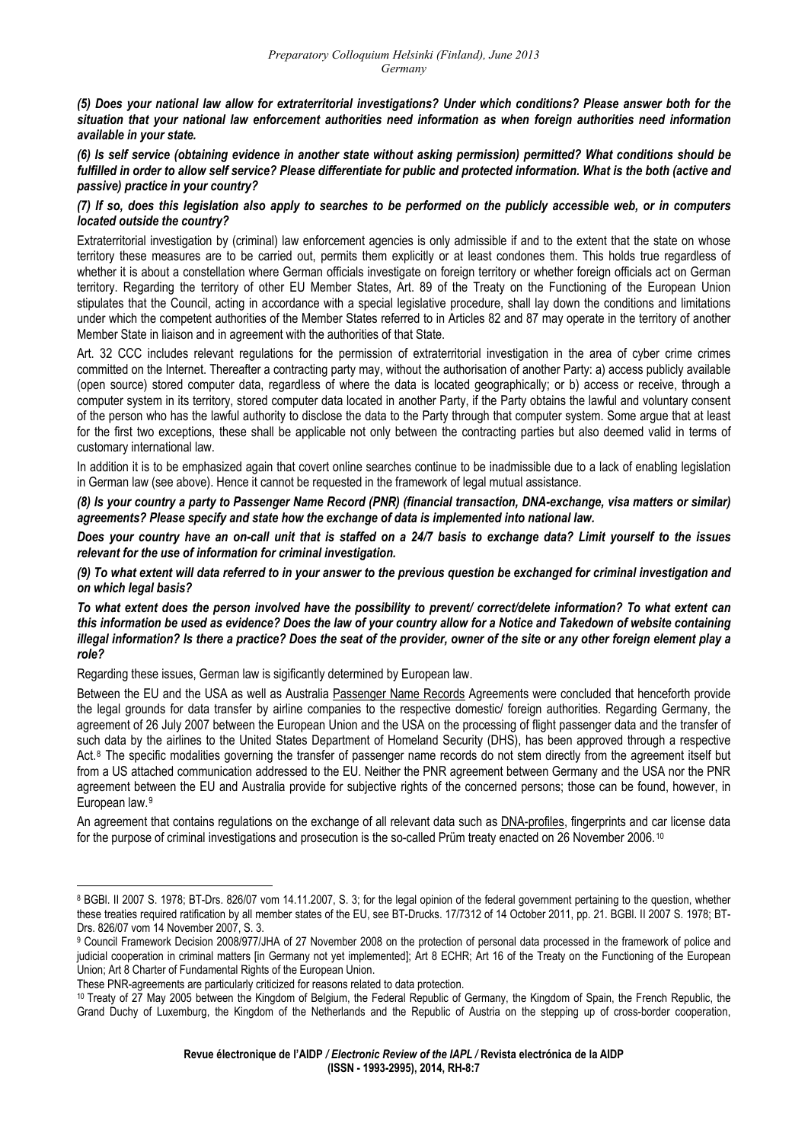*(5) Does your national law allow for extraterritorial investigations? Under which conditions? Please answer both for the situation that your national law enforcement authorities need information as when foreign authorities need information available in your state.* 

*(6) Is self service (obtaining evidence in another state without asking permission) permitted? What conditions should be fulfilled in order to allow self service? Please differentiate for public and protected information. What is the both (active and passive) practice in your country?* 

#### *(7) If so, does this legislation also apply to searches to be performed on the publicly accessible web, or in computers located outside the country?*

Extraterritorial investigation by (criminal) law enforcement agencies is only admissible if and to the extent that the state on whose territory these measures are to be carried out, permits them explicitly or at least condones them. This holds true regardless of whether it is about a constellation where German officials investigate on foreign territory or whether foreign officials act on German territory. Regarding the territory of other EU Member States, Art. 89 of the Treaty on the Functioning of the European Union stipulates that the Council, acting in accordance with a special legislative procedure, shall lay down the conditions and limitations under which the competent authorities of the Member States referred to in Articles 82 and 87 may operate in the territory of another Member State in liaison and in agreement with the authorities of that State.

Art. 32 CCC includes relevant regulations for the permission of extraterritorial investigation in the area of cyber crime crimes committed on the Internet. Thereafter a contracting party may, without the authorisation of another Party: a) access publicly available (open source) stored computer data, regardless of where the data is located geographically; or b) access or receive, through a computer system in its territory, stored computer data located in another Party, if the Party obtains the lawful and voluntary consent of the person who has the lawful authority to disclose the data to the Party through that computer system. Some argue that at least for the first two exceptions, these shall be applicable not only between the contracting parties but also deemed valid in terms of customary international law.

In addition it is to be emphasized again that covert online searches continue to be inadmissible due to a lack of enabling legislation in German law (see above). Hence it cannot be requested in the framework of legal mutual assistance.

*(8) Is your country a party to Passenger Name Record (PNR) (financial transaction, DNA-exchange, visa matters or similar) agreements? Please specify and state how the exchange of data is implemented into national law.* 

*Does your country have an on-call unit that is staffed on a 24/7 basis to exchange data? Limit yourself to the issues relevant for the use of information for criminal investigation.* 

*(9) To what extent will data referred to in your answer to the previous question be exchanged for criminal investigation and on which legal basis?* 

*To what extent does the person involved have the possibility to prevent/ correct/delete information? To what extent can this information be used as evidence? Does the law of your country allow for a Notice and Takedown of website containing illegal information? Is there a practice? Does the seat of the provider, owner of the site or any other foreign element play a role?* 

Regarding these issues, German law is sigificantly determined by European law.

Between the EU and the USA as well as Australia Passenger Name Records Agreements were concluded that henceforth provide the legal grounds for data transfer by airline companies to the respective domestic/ foreign authorities. Regarding Germany, the agreement of 26 July 2007 between the European Union and the USA on the processing of flight passenger data and the transfer of such data by the airlines to the United States Department of Homeland Security (DHS), has been approved through a respective Act.<sup>[8](#page-6-0)</sup> The specific modalities governing the transfer of passenger name records do not stem directly from the agreement itself but from a US attached communication addressed to the EU. Neither the PNR agreement between Germany and the USA nor the PNR agreement between the EU and Australia provide for subjective rights of the concerned persons; those can be found, however, in European law.[9](#page-6-1)

An agreement that contains regulations on the exchange of all relevant data such as DNA-profiles, fingerprints and car license data for the purpose of criminal investigations and prosecution is the so-called Prüm treaty enacted on 26 November 2006.[10](#page-6-2)

<span id="page-6-0"></span><sup>8</sup> BGBl. II 2007 S. 1978; BT-Drs. 826/07 vom 14.11.2007, S. 3; for the legal opinion of the federal government pertaining to the question, whether these treaties required ratification by all member states of the EU, see BT-Drucks. 17/7312 of 14 October 2011, pp. 21. BGBl. II 2007 S. 1978; BT-Drs. 826/07 vom 14 November 2007, S. 3.

<span id="page-6-1"></span><sup>9</sup> Council Framework Decision 2008/977/JHA of 27 November 2008 on the protection of personal data processed in the framework of police and judicial cooperation in criminal matters [in Germany not yet implemented]; Art 8 ECHR; Art 16 of the Treaty on the Functioning of the European Union; Art 8 Charter of Fundamental Rights of the European Union.

These PNR-agreements are particularly criticized for reasons related to data protection.

<span id="page-6-2"></span><sup>10</sup> Treaty of 27 May 2005 between the Kingdom of Belgium, the Federal Republic of Germany, the Kingdom of Spain, the French Republic, the Grand Duchy of Luxemburg, the Kingdom of the Netherlands and the Republic of Austria on the stepping up of cross-border cooperation,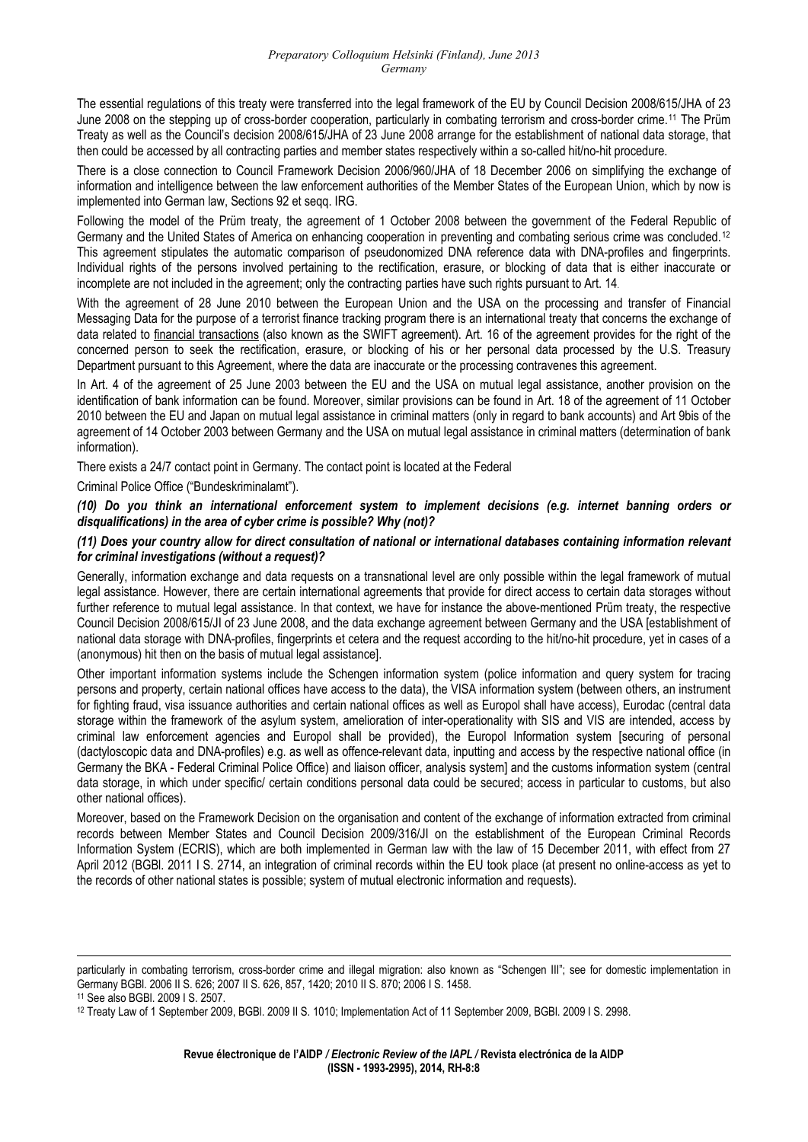The essential regulations of this treaty were transferred into the legal framework of the EU by Council Decision 2008/615/JHA of 23 June 2008 on the stepping up of cross-border cooperation, particularly in combating terrorism and cross-border crime.[11](#page-7-0) The Prüm Treaty as well as the Council's decision 2008/615/JHA of 23 June 2008 arrange for the establishment of national data storage, that then could be accessed by all contracting parties and member states respectively within a so-called hit/no-hit procedure.

There is a close connection to Council Framework Decision 2006/960/JHA of 18 December 2006 on simplifying the exchange of information and intelligence between the law enforcement authorities of the Member States of the European Union, which by now is implemented into German law, Sections 92 et seqq. IRG.

Following the model of the Prüm treaty, the agreement of 1 October 2008 between the government of the Federal Republic of Germany and the United States of America on enhancing cooperation in preventing and combating serious crime was concluded.[12](#page-7-1) This agreement stipulates the automatic comparison of pseudonomized DNA reference data with DNA-profiles and fingerprints. Individual rights of the persons involved pertaining to the rectification, erasure, or blocking of data that is either inaccurate or incomplete are not included in the agreement; only the contracting parties have such rights pursuant to Art. 14.

With the agreement of 28 June 2010 between the European Union and the USA on the processing and transfer of Financial Messaging Data for the purpose of a terrorist finance tracking program there is an international treaty that concerns the exchange of data related to financial transactions (also known as the SWIFT agreement). Art. 16 of the agreement provides for the right of the concerned person to seek the rectification, erasure, or blocking of his or her personal data processed by the U.S. Treasury Department pursuant to this Agreement, where the data are inaccurate or the processing contravenes this agreement.

In Art. 4 of the agreement of 25 June 2003 between the EU and the USA on mutual legal assistance, another provision on the identification of bank information can be found. Moreover, similar provisions can be found in Art. 18 of the agreement of 11 October 2010 between the EU and Japan on mutual legal assistance in criminal matters (only in regard to bank accounts) and Art 9bis of the agreement of 14 October 2003 between Germany and the USA on mutual legal assistance in criminal matters (determination of bank information).

There exists a 24/7 contact point in Germany. The contact point is located at the Federal

Criminal Police Office ("Bundeskriminalamt").

#### *(10) Do you think an international enforcement system to implement decisions (e.g. internet banning orders or disqualifications) in the area of cyber crime is possible? Why (not)?*

#### *(11) Does your country allow for direct consultation of national or international databases containing information relevant for criminal investigations (without a request)?*

Generally, information exchange and data requests on a transnational level are only possible within the legal framework of mutual legal assistance. However, there are certain international agreements that provide for direct access to certain data storages without further reference to mutual legal assistance. In that context, we have for instance the above-mentioned Prüm treaty, the respective Council Decision 2008/615/JI of 23 June 2008, and the data exchange agreement between Germany and the USA [establishment of national data storage with DNA-profiles, fingerprints et cetera and the request according to the hit/no-hit procedure, yet in cases of a (anonymous) hit then on the basis of mutual legal assistance].

Other important information systems include the Schengen information system (police information and query system for tracing persons and property, certain national offices have access to the data), the VISA information system (between others, an instrument for fighting fraud, visa issuance authorities and certain national offices as well as Europol shall have access), Eurodac (central data storage within the framework of the asylum system, amelioration of inter-operationality with SIS and VIS are intended, access by criminal law enforcement agencies and Europol shall be provided), the Europol Information system [securing of personal (dactyloscopic data and DNA-profiles) e.g. as well as offence-relevant data, inputting and access by the respective national office (in Germany the BKA - Federal Criminal Police Office) and liaison officer, analysis system] and the customs information system (central data storage, in which under specific/ certain conditions personal data could be secured; access in particular to customs, but also other national offices).

Moreover, based on the Framework Decision on the organisation and content of the exchange of information extracted from criminal records between Member States and Council Decision 2009/316/JI on the establishment of the European Criminal Records Information System (ECRIS), which are both implemented in German law with the law of 15 December 2011, with effect from 27 April 2012 (BGBl. 2011 I S. 2714, an integration of criminal records within the EU took place (at present no online-access as yet to the records of other national states is possible; system of mutual electronic information and requests).

<sup>&</sup>lt;u> 1989 - Andrea Santa Andrea Andrea Andrea Andrea Andrea Andrea Andrea Andrea Andrea Andrea Andrea Andrea Andr</u> particularly in combating terrorism, cross-border crime and illegal migration: also known as "Schengen III"; see for domestic implementation in Germany BGBl. 2006 II S. 626; 2007 II S. 626, 857, 1420; 2010 II S. 870; 2006 I S. 1458.

<span id="page-7-0"></span><sup>11</sup> See also BGBl. 2009 I S. 2507.

<span id="page-7-1"></span><sup>12</sup> Treaty Law of 1 September 2009, BGBl. 2009 II S. 1010; Implementation Act of 11 September 2009, BGBl. 2009 I S. 2998.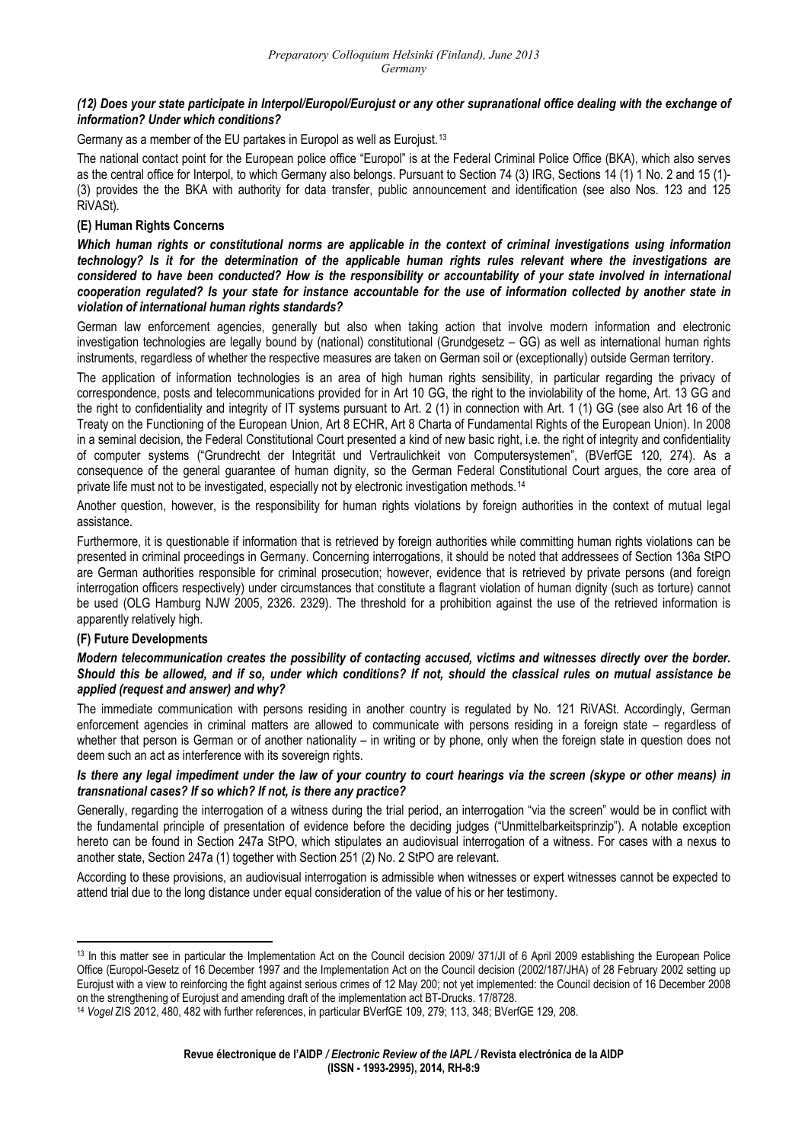#### *(12) Does your state participate in Interpol/Europol/Eurojust or any other supranational office dealing with the exchange of information? Under which conditions?*

Germany as a member of the EU partakes in Europol as well as Eurojust.[13](#page-8-0)

The national contact point for the European police office "Europol" is at the Federal Criminal Police Office (BKA), which also serves as the central office for Interpol, to which Germany also belongs. Pursuant to Section 74 (3) IRG, Sections 14 (1) 1 No. 2 and 15 (1)- (3) provides the the BKA with authority for data transfer, public announcement and identification (see also Nos. 123 and 125 RiVASt).

#### **(E) Human Rights Concerns**

*Which human rights or constitutional norms are applicable in the context of criminal investigations using information technology? Is it for the determination of the applicable human rights rules relevant where the investigations are considered to have been conducted? How is the responsibility or accountability of your state involved in international cooperation regulated? Is your state for instance accountable for the use of information collected by another state in violation of international human rights standards?* 

German law enforcement agencies, generally but also when taking action that involve modern information and electronic investigation technologies are legally bound by (national) constitutional (Grundgesetz – GG) as well as international human rights instruments, regardless of whether the respective measures are taken on German soil or (exceptionally) outside German territory.

The application of information technologies is an area of high human rights sensibility, in particular regarding the privacy of correspondence, posts and telecommunications provided for in Art 10 GG, the right to the inviolability of the home, Art. 13 GG and the right to confidentiality and integrity of IT systems pursuant to Art. 2 (1) in connection with Art. 1 (1) GG (see also Art 16 of the Treaty on the Functioning of the European Union, Art 8 ECHR, Art 8 Charta of Fundamental Rights of the European Union). In 2008 in a seminal decision, the Federal Constitutional Court presented a kind of new basic right, i.e. the right of integrity and confidentiality of computer systems ("Grundrecht der Integrität und Vertraulichkeit von Computersystemen", (BVerfGE 120, 274). As a consequence of the general guarantee of human dignity, so the German Federal Constitutional Court argues, the core area of private life must not to be investigated, especially not by electronic investigation methods.<sup>[14](#page-8-1)</sup>

Another question, however, is the responsibility for human rights violations by foreign authorities in the context of mutual legal assistance.

Furthermore, it is questionable if information that is retrieved by foreign authorities while committing human rights violations can be presented in criminal proceedings in Germany. Concerning interrogations, it should be noted that addressees of Section 136a StPO are German authorities responsible for criminal prosecution; however, evidence that is retrieved by private persons (and foreign interrogation officers respectively) under circumstances that constitute a flagrant violation of human dignity (such as torture) cannot be used (OLG Hamburg NJW 2005, 2326. 2329). The threshold for a prohibition against the use of the retrieved information is apparently relatively high.

#### **(F) Future Developments**

#### *Modern telecommunication creates the possibility of contacting accused, victims and witnesses directly over the border. Should this be allowed, and if so, under which conditions? If not, should the classical rules on mutual assistance be applied (request and answer) and why?*

The immediate communication with persons residing in another country is regulated by No. 121 RiVASt. Accordingly, German enforcement agencies in criminal matters are allowed to communicate with persons residing in a foreign state – regardless of whether that person is German or of another nationality – in writing or by phone, only when the foreign state in question does not deem such an act as interference with its sovereign rights.

#### *Is there any legal impediment under the law of your country to court hearings via the screen (skype or other means) in transnational cases? If so which? If not, is there any practice?*

Generally, regarding the interrogation of a witness during the trial period, an interrogation "via the screen" would be in conflict with the fundamental principle of presentation of evidence before the deciding judges ("Unmittelbarkeitsprinzip"). A notable exception hereto can be found in Section 247a StPO, which stipulates an audiovisual interrogation of a witness. For cases with a nexus to another state, Section 247a (1) together with Section 251 (2) No. 2 StPO are relevant.

According to these provisions, an audiovisual interrogation is admissible when witnesses or expert witnesses cannot be expected to attend trial due to the long distance under equal consideration of the value of his or her testimony.

<span id="page-8-0"></span><sup>&</sup>lt;sup>13</sup> In this matter see in particular the Implementation Act on the Council decision 2009/ 371/JI of 6 April 2009 establishing the European Police Office (Europol-Gesetz of 16 December 1997 and the Implementation Act on the Council decision (2002/187/JHA) of 28 February 2002 setting up Eurojust with a view to reinforcing the fight against serious crimes of 12 May 200; not yet implemented: the Council decision of 16 December 2008 on the strengthening of Eurojust and amending draft of the implementation act BT-Drucks. 17/8728.

<span id="page-8-1"></span><sup>14</sup> *Vogel* ZIS 2012, 480, 482 with further references, in particular BVerfGE 109, 279; 113, 348; BVerfGE 129, 208.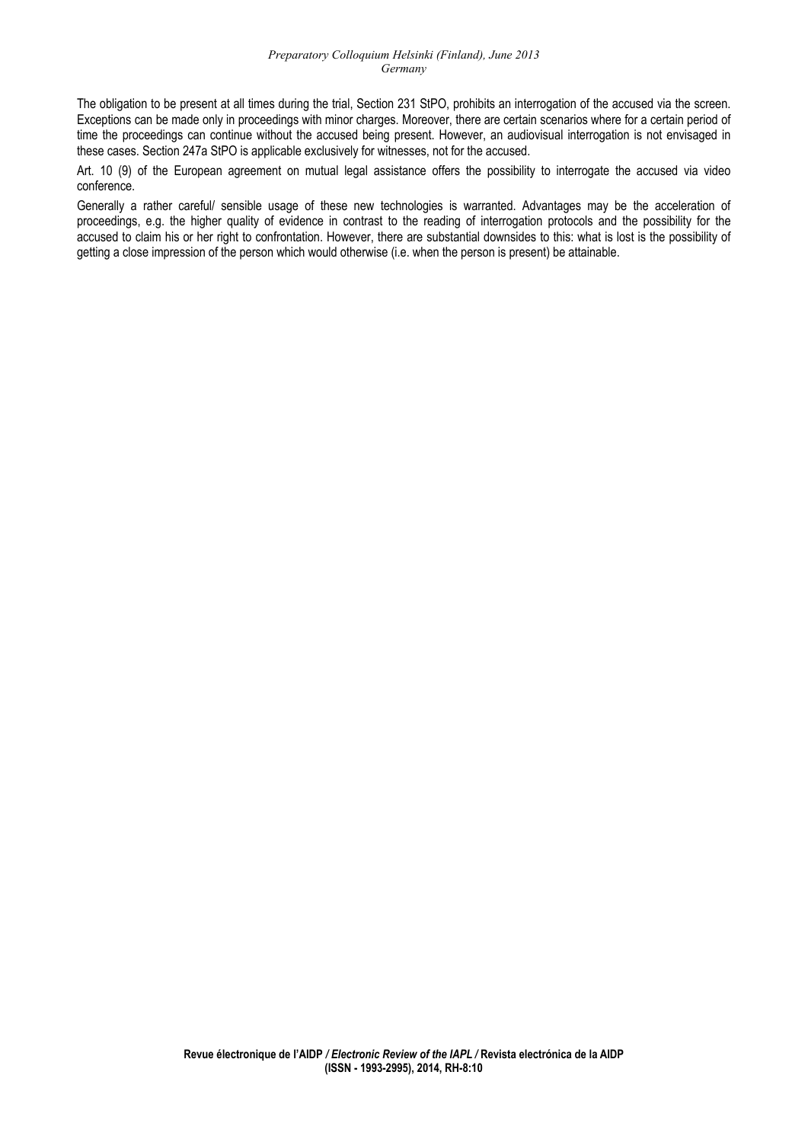The obligation to be present at all times during the trial, Section 231 StPO, prohibits an interrogation of the accused via the screen. Exceptions can be made only in proceedings with minor charges. Moreover, there are certain scenarios where for a certain period of time the proceedings can continue without the accused being present. However, an audiovisual interrogation is not envisaged in these cases. Section 247a StPO is applicable exclusively for witnesses, not for the accused.

Art. 10 (9) of the European agreement on mutual legal assistance offers the possibility to interrogate the accused via video conference.

Generally a rather careful/ sensible usage of these new technologies is warranted. Advantages may be the acceleration of proceedings, e.g. the higher quality of evidence in contrast to the reading of interrogation protocols and the possibility for the accused to claim his or her right to confrontation. However, there are substantial downsides to this: what is lost is the possibility of getting a close impression of the person which would otherwise (i.e. when the person is present) be attainable.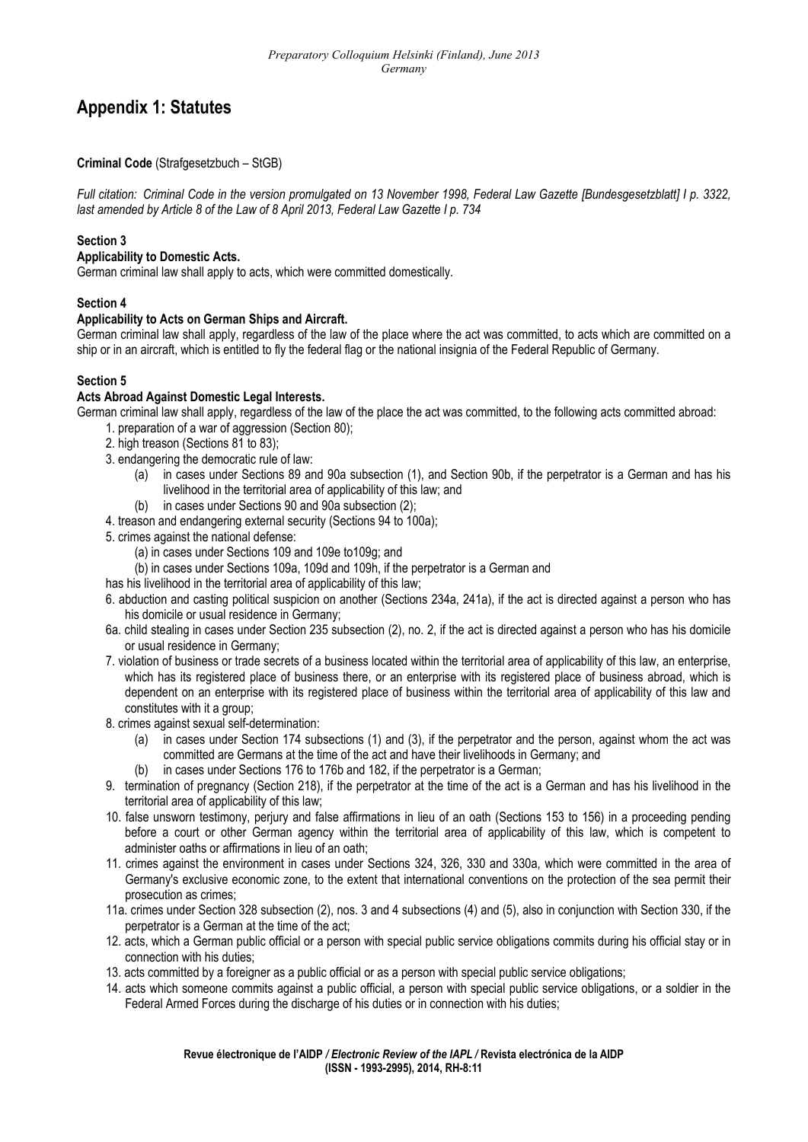# **Appendix 1: Statutes**

### **Criminal Code** (Strafgesetzbuch – StGB)

*Full citation: Criminal Code in the version promulgated on 13 November 1998, Federal Law Gazette [Bundesgesetzblatt] I p. 3322, last amended by Article 8 of the Law of 8 April 2013, Federal Law Gazette I p. 734* 

### **Section 3**

# **Applicability to Domestic Acts.**

German criminal law shall apply to acts, which were committed domestically.

# **Section 4**

### **Applicability to Acts on German Ships and Aircraft.**

German criminal law shall apply, regardless of the law of the place where the act was committed, to acts which are committed on a ship or in an aircraft, which is entitled to fly the federal flag or the national insignia of the Federal Republic of Germany.

### **Section 5**

#### **Acts Abroad Against Domestic Legal Interests.**

German criminal law shall apply, regardless of the law of the place the act was committed, to the following acts committed abroad:

- 1. preparation of a war of aggression (Section 80);
- 2. high treason (Sections 81 to 83);
- 3. endangering the democratic rule of law:
	- (a) in cases under Sections 89 and 90a subsection (1), and Section 90b, if the perpetrator is a German and has his livelihood in the territorial area of applicability of this law; and
	- (b) in cases under Sections 90 and 90a subsection (2);
- 4. treason and endangering external security (Sections 94 to 100a);
- 5. crimes against the national defense:
	- (a) in cases under Sections 109 and 109e to109g; and

(b) in cases under Sections 109a, 109d and 109h, if the perpetrator is a German and

- has his livelihood in the territorial area of applicability of this law;
- 6. abduction and casting political suspicion on another (Sections 234a, 241a), if the act is directed against a person who has his domicile or usual residence in Germany;
- 6a. child stealing in cases under Section 235 subsection (2), no. 2, if the act is directed against a person who has his domicile or usual residence in Germany;
- 7. violation of business or trade secrets of a business located within the territorial area of applicability of this law, an enterprise, which has its registered place of business there, or an enterprise with its registered place of business abroad, which is dependent on an enterprise with its registered place of business within the territorial area of applicability of this law and constitutes with it a group:
- 8. crimes against sexual self-determination:
	- (a) in cases under Section 174 subsections (1) and (3), if the perpetrator and the person, against whom the act was committed are Germans at the time of the act and have their livelihoods in Germany; and
	- (b) in cases under Sections 176 to 176b and 182, if the perpetrator is a German;
- 9. termination of pregnancy (Section 218), if the perpetrator at the time of the act is a German and has his livelihood in the territorial area of applicability of this law;
- 10. false unsworn testimony, perjury and false affirmations in lieu of an oath (Sections 153 to 156) in a proceeding pending before a court or other German agency within the territorial area of applicability of this law, which is competent to administer oaths or affirmations in lieu of an oath;
- 11. crimes against the environment in cases under Sections 324, 326, 330 and 330a, which were committed in the area of Germany's exclusive economic zone, to the extent that international conventions on the protection of the sea permit their prosecution as crimes;
- 11a. crimes under Section 328 subsection (2), nos. 3 and 4 subsections (4) and (5), also in conjunction with Section 330, if the perpetrator is a German at the time of the act;
- 12. acts, which a German public official or a person with special public service obligations commits during his official stay or in connection with his duties;
- 13. acts committed by a foreigner as a public official or as a person with special public service obligations;
- 14. acts which someone commits against a public official, a person with special public service obligations, or a soldier in the Federal Armed Forces during the discharge of his duties or in connection with his duties;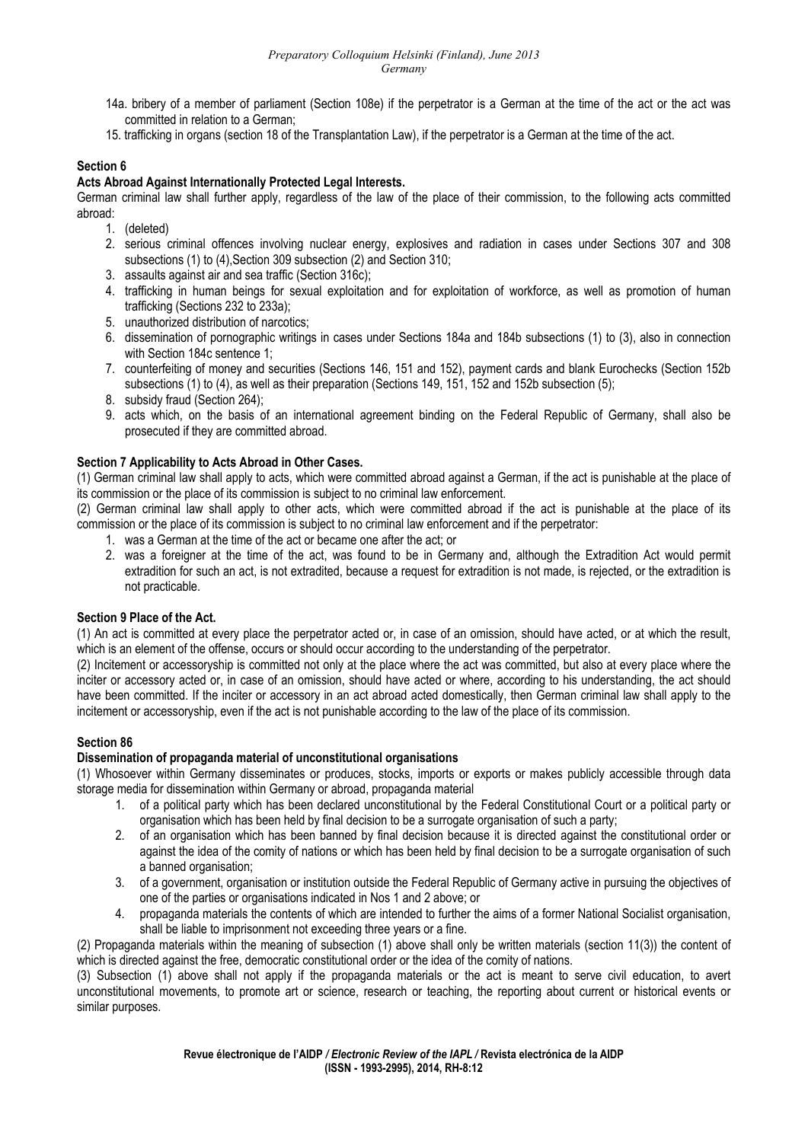- 14a. bribery of a member of parliament (Section 108e) if the perpetrator is a German at the time of the act or the act was committed in relation to a German;
- 15. trafficking in organs (section 18 of the Transplantation Law), if the perpetrator is a German at the time of the act.

### **Section 6**

### **Acts Abroad Against Internationally Protected Legal Interests.**

German criminal law shall further apply, regardless of the law of the place of their commission, to the following acts committed abroad:

- 1. (deleted)
- 2. serious criminal offences involving nuclear energy, explosives and radiation in cases under Sections 307 and 308 subsections (1) to (4), Section 309 subsection (2) and Section 310;
- 3. assaults against air and sea traffic (Section 316c);
- 4. trafficking in human beings for sexual exploitation and for exploitation of workforce, as well as promotion of human trafficking (Sections 232 to 233a);
- 5. unauthorized distribution of narcotics;
- 6. dissemination of pornographic writings in cases under Sections 184a and 184b subsections (1) to (3), also in connection with Section 184c sentence 1;
- 7. counterfeiting of money and securities (Sections 146, 151 and 152), payment cards and blank Eurochecks (Section 152b subsections (1) to (4), as well as their preparation (Sections 149, 151, 152 and 152b subsection (5);
- 8. subsidy fraud (Section 264);
- 9. acts which, on the basis of an international agreement binding on the Federal Republic of Germany, shall also be prosecuted if they are committed abroad.

### **Section 7 Applicability to Acts Abroad in Other Cases.**

(1) German criminal law shall apply to acts, which were committed abroad against a German, if the act is punishable at the place of its commission or the place of its commission is subject to no criminal law enforcement.

(2) German criminal law shall apply to other acts, which were committed abroad if the act is punishable at the place of its commission or the place of its commission is subject to no criminal law enforcement and if the perpetrator:

- 1. was a German at the time of the act or became one after the act; or
- 2. was a foreigner at the time of the act, was found to be in Germany and, although the Extradition Act would permit extradition for such an act, is not extradited, because a request for extradition is not made, is rejected, or the extradition is not practicable.

#### **Section 9 Place of the Act.**

(1) An act is committed at every place the perpetrator acted or, in case of an omission, should have acted, or at which the result, which is an element of the offense, occurs or should occur according to the understanding of the perpetrator.

(2) Incitement or accessoryship is committed not only at the place where the act was committed, but also at every place where the inciter or accessory acted or, in case of an omission, should have acted or where, according to his understanding, the act should have been committed. If the inciter or accessory in an act abroad acted domestically, then German criminal law shall apply to the incitement or accessoryship, even if the act is not punishable according to the law of the place of its commission.

#### **Section 86**

### **Dissemination of propaganda material of unconstitutional organisations**

(1) Whosoever within Germany disseminates or produces, stocks, imports or exports or makes publicly accessible through data storage media for dissemination within Germany or abroad, propaganda material

- 1. of a political party which has been declared unconstitutional by the Federal Constitutional Court or a political party or organisation which has been held by final decision to be a surrogate organisation of such a party;
- 2. of an organisation which has been banned by final decision because it is directed against the constitutional order or against the idea of the comity of nations or which has been held by final decision to be a surrogate organisation of such a banned organisation;
- 3. of a government, organisation or institution outside the Federal Republic of Germany active in pursuing the objectives of one of the parties or organisations indicated in Nos 1 and 2 above; or
- 4. propaganda materials the contents of which are intended to further the aims of a former National Socialist organisation, shall be liable to imprisonment not exceeding three years or a fine.

(2) Propaganda materials within the meaning of subsection (1) above shall only be written materials (section 11(3)) the content of which is directed against the free, democratic constitutional order or the idea of the comity of nations.

(3) Subsection (1) above shall not apply if the propaganda materials or the act is meant to serve civil education, to avert unconstitutional movements, to promote art or science, research or teaching, the reporting about current or historical events or similar purposes.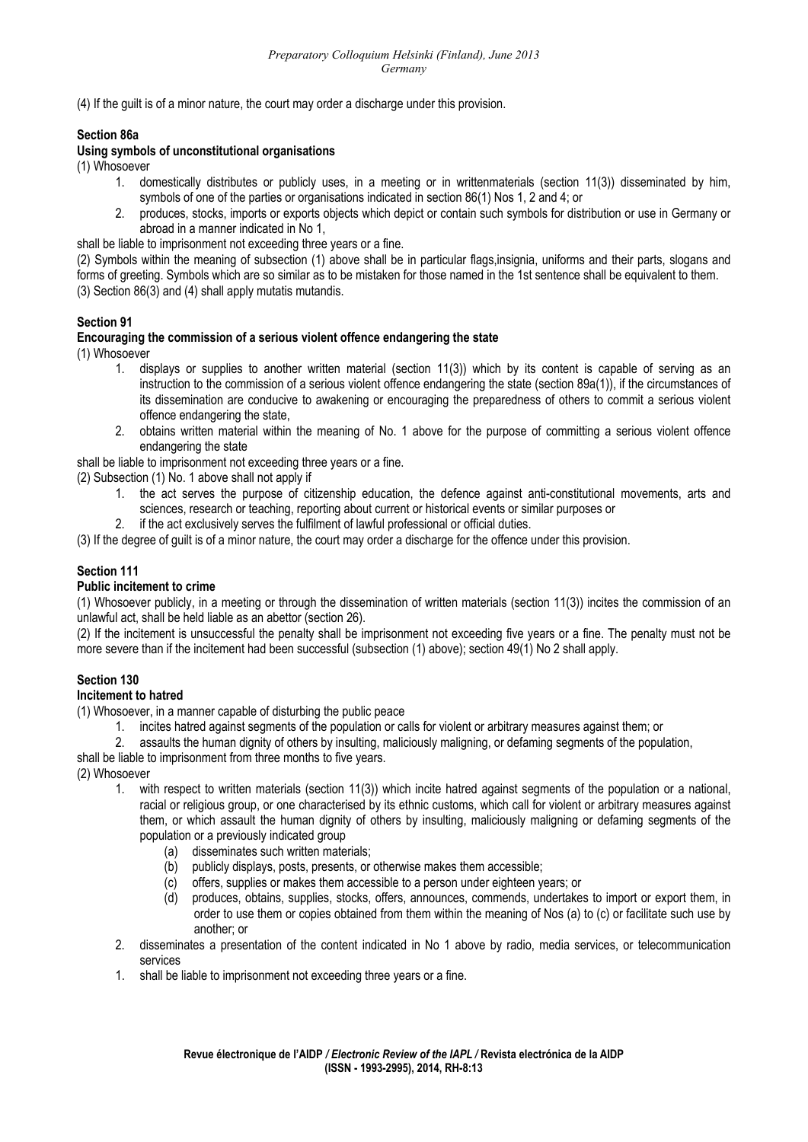(4) If the guilt is of a minor nature, the court may order a discharge under this provision.

#### **Section 86a**

#### **Using symbols of unconstitutional organisations**

(1) Whosoever

- 1. domestically distributes or publicly uses, in a meeting or in writtenmaterials (section 11(3)) disseminated by him, symbols of one of the parties or organisations indicated in section 86(1) Nos 1, 2 and 4; or
- 2. produces, stocks, imports or exports objects which depict or contain such symbols for distribution or use in Germany or abroad in a manner indicated in No 1,
- shall be liable to imprisonment not exceeding three years or a fine.

(2) Symbols within the meaning of subsection (1) above shall be in particular flags,insignia, uniforms and their parts, slogans and forms of greeting. Symbols which are so similar as to be mistaken for those named in the 1st sentence shall be equivalent to them. (3) Section 86(3) and (4) shall apply mutatis mutandis.

### **Section 91**

### **Encouraging the commission of a serious violent offence endangering the state**

(1) Whosoever

- 1. displays or supplies to another written material (section 11(3)) which by its content is capable of serving as an instruction to the commission of a serious violent offence endangering the state (section 89a(1)), if the circumstances of its dissemination are conducive to awakening or encouraging the preparedness of others to commit a serious violent offence endangering the state,
- 2. obtains written material within the meaning of No. 1 above for the purpose of committing a serious violent offence endangering the state

shall be liable to imprisonment not exceeding three years or a fine.

(2) Subsection (1) No. 1 above shall not apply if

- 1. the act serves the purpose of citizenship education, the defence against anti-constitutional movements, arts and sciences, research or teaching, reporting about current or historical events or similar purposes or
- 2. if the act exclusively serves the fulfilment of lawful professional or official duties.

(3) If the degree of guilt is of a minor nature, the court may order a discharge for the offence under this provision.

### **Section 111**

#### **Public incitement to crime**

(1) Whosoever publicly, in a meeting or through the dissemination of written materials (section 11(3)) incites the commission of an unlawful act, shall be held liable as an abettor (section 26).

(2) If the incitement is unsuccessful the penalty shall be imprisonment not exceeding five years or a fine. The penalty must not be more severe than if the incitement had been successful (subsection (1) above); section 49(1) No 2 shall apply.

### **Section 130**

#### **Incitement to hatred**

(1) Whosoever, in a manner capable of disturbing the public peace

- 1. incites hatred against segments of the population or calls for violent or arbitrary measures against them; or
- 2. assaults the human dignity of others by insulting, maliciously maligning, or defaming segments of the population,

shall be liable to imprisonment from three months to five years.

(2) Whosoever

- 1. with respect to written materials (section 11(3)) which incite hatred against segments of the population or a national, racial or religious group, or one characterised by its ethnic customs, which call for violent or arbitrary measures against them, or which assault the human dignity of others by insulting, maliciously maligning or defaming segments of the population or a previously indicated group
	- (a) disseminates such written materials;
	- (b) publicly displays, posts, presents, or otherwise makes them accessible;
	- (c) offers, supplies or makes them accessible to a person under eighteen years; or
	- (d) produces, obtains, supplies, stocks, offers, announces, commends, undertakes to import or export them, in order to use them or copies obtained from them within the meaning of Nos (a) to (c) or facilitate such use by another; or
- 2. disseminates a presentation of the content indicated in No 1 above by radio, media services, or telecommunication services
- 1. shall be liable to imprisonment not exceeding three years or a fine.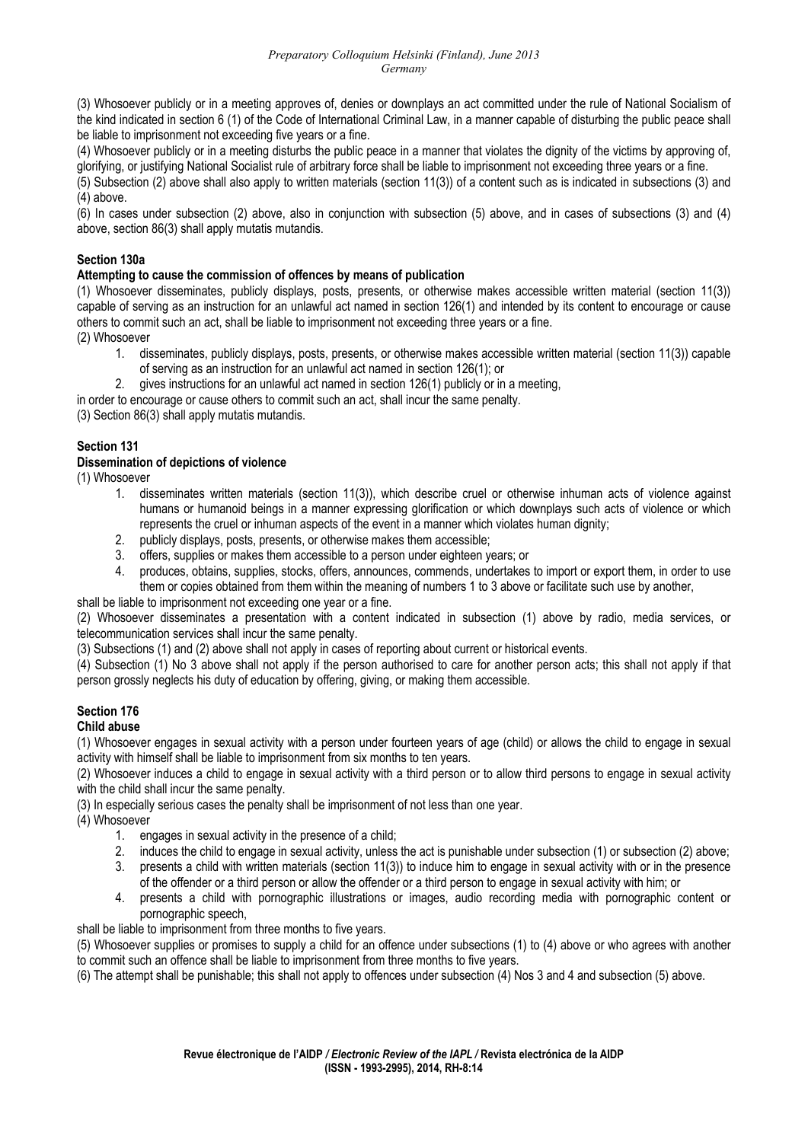(3) Whosoever publicly or in a meeting approves of, denies or downplays an act committed under the rule of National Socialism of the kind indicated in section 6 (1) of the Code of International Criminal Law, in a manner capable of disturbing the public peace shall be liable to imprisonment not exceeding five years or a fine.

(4) Whosoever publicly or in a meeting disturbs the public peace in a manner that violates the dignity of the victims by approving of, glorifying, or justifying National Socialist rule of arbitrary force shall be liable to imprisonment not exceeding three years or a fine.

(5) Subsection (2) above shall also apply to written materials (section 11(3)) of a content such as is indicated in subsections (3) and (4) above.

(6) In cases under subsection (2) above, also in conjunction with subsection (5) above, and in cases of subsections (3) and (4) above, section 86(3) shall apply mutatis mutandis.

# **Section 130a**

### **Attempting to cause the commission of offences by means of publication**

(1) Whosoever disseminates, publicly displays, posts, presents, or otherwise makes accessible written material (section 11(3)) capable of serving as an instruction for an unlawful act named in section 126(1) and intended by its content to encourage or cause others to commit such an act, shall be liable to imprisonment not exceeding three years or a fine.

(2) Whosoever

- 1. disseminates, publicly displays, posts, presents, or otherwise makes accessible written material (section 11(3)) capable of serving as an instruction for an unlawful act named in section 126(1); or
- 2. gives instructions for an unlawful act named in section 126(1) publicly or in a meeting,

in order to encourage or cause others to commit such an act, shall incur the same penalty.

(3) Section 86(3) shall apply mutatis mutandis.

### **Section 131**

### **Dissemination of depictions of violence**

(1) Whosoever

- 1. disseminates written materials (section 11(3)), which describe cruel or otherwise inhuman acts of violence against humans or humanoid beings in a manner expressing glorification or which downplays such acts of violence or which represents the cruel or inhuman aspects of the event in a manner which violates human dignity;
- 2. publicly displays, posts, presents, or otherwise makes them accessible;
- 3. offers, supplies or makes them accessible to a person under eighteen years; or
- 4. produces, obtains, supplies, stocks, offers, announces, commends, undertakes to import or export them, in order to use them or copies obtained from them within the meaning of numbers 1 to 3 above or facilitate such use by another,

shall be liable to imprisonment not exceeding one year or a fine.

(2) Whosoever disseminates a presentation with a content indicated in subsection (1) above by radio, media services, or telecommunication services shall incur the same penalty.

(3) Subsections (1) and (2) above shall not apply in cases of reporting about current or historical events.

(4) Subsection (1) No 3 above shall not apply if the person authorised to care for another person acts; this shall not apply if that person grossly neglects his duty of education by offering, giving, or making them accessible.

#### **Section 176 Child abuse**

(1) Whosoever engages in sexual activity with a person under fourteen years of age (child) or allows the child to engage in sexual activity with himself shall be liable to imprisonment from six months to ten years.

(2) Whosoever induces a child to engage in sexual activity with a third person or to allow third persons to engage in sexual activity with the child shall incur the same penalty.

(3) In especially serious cases the penalty shall be imprisonment of not less than one year.

(4) Whosoever

- 1. engages in sexual activity in the presence of a child;
- 2. induces the child to engage in sexual activity, unless the act is punishable under subsection (1) or subsection (2) above;
- 3. presents a child with written materials (section 11(3)) to induce him to engage in sexual activity with or in the presence of the offender or a third person or allow the offender or a third person to engage in sexual activity with him; or
- 4. presents a child with pornographic illustrations or images, audio recording media with pornographic content or pornographic speech,

shall be liable to imprisonment from three months to five years.

(5) Whosoever supplies or promises to supply a child for an offence under subsections (1) to (4) above or who agrees with another to commit such an offence shall be liable to imprisonment from three months to five years.

(6) The attempt shall be punishable; this shall not apply to offences under subsection (4) Nos 3 and 4 and subsection (5) above.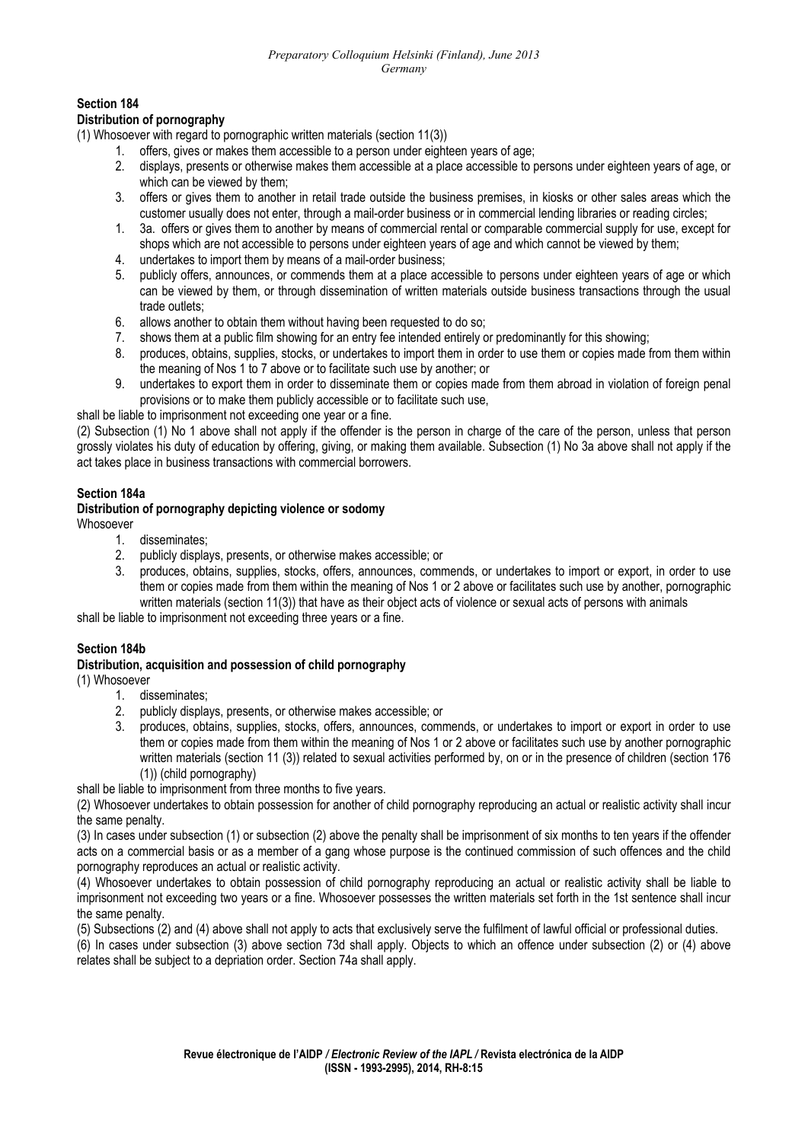# **Section 184**

### **Distribution of pornography**

(1) Whosoever with regard to pornographic written materials (section 11(3))

- 1. offers, gives or makes them accessible to a person under eighteen years of age;
- 2. displays, presents or otherwise makes them accessible at a place accessible to persons under eighteen years of age, or which can be viewed by them;
- 3. offers or gives them to another in retail trade outside the business premises, in kiosks or other sales areas which the customer usually does not enter, through a mail-order business or in commercial lending libraries or reading circles;
- 1. 3a. offers or gives them to another by means of commercial rental or comparable commercial supply for use, except for shops which are not accessible to persons under eighteen years of age and which cannot be viewed by them;
- 4. undertakes to import them by means of a mail-order business;
- 5. publicly offers, announces, or commends them at a place accessible to persons under eighteen years of age or which can be viewed by them, or through dissemination of written materials outside business transactions through the usual trade outlets;
- 6. allows another to obtain them without having been requested to do so;
- 7. shows them at a public film showing for an entry fee intended entirely or predominantly for this showing;
- 8. produces, obtains, supplies, stocks, or undertakes to import them in order to use them or copies made from them within the meaning of Nos 1 to 7 above or to facilitate such use by another; or
- 9. undertakes to export them in order to disseminate them or copies made from them abroad in violation of foreign penal provisions or to make them publicly accessible or to facilitate such use,

shall be liable to imprisonment not exceeding one year or a fine.

(2) Subsection (1) No 1 above shall not apply if the offender is the person in charge of the care of the person, unless that person grossly violates his duty of education by offering, giving, or making them available. Subsection (1) No 3a above shall not apply if the act takes place in business transactions with commercial borrowers.

#### **Section 184a**

#### **Distribution of pornography depicting violence or sodomy**  Whosoever

- 1. disseminates;
- 2. publicly displays, presents, or otherwise makes accessible; or
- 3. produces, obtains, supplies, stocks, offers, announces, commends, or undertakes to import or export, in order to use them or copies made from them within the meaning of Nos 1 or 2 above or facilitates such use by another, pornographic written materials (section 11(3)) that have as their object acts of violence or sexual acts of persons with animals

shall be liable to imprisonment not exceeding three years or a fine.

### **Section 184b**

#### **Distribution, acquisition and possession of child pornography**

(1) Whosoever

- 1. disseminates;
- 2. publicly displays, presents, or otherwise makes accessible; or
- 3. produces, obtains, supplies, stocks, offers, announces, commends, or undertakes to import or export in order to use them or copies made from them within the meaning of Nos 1 or 2 above or facilitates such use by another pornographic written materials (section 11 (3)) related to sexual activities performed by, on or in the presence of children (section 176 (1)) (child pornography)

shall be liable to imprisonment from three months to five years.

(2) Whosoever undertakes to obtain possession for another of child pornography reproducing an actual or realistic activity shall incur the same penalty.

(3) In cases under subsection (1) or subsection (2) above the penalty shall be imprisonment of six months to ten years if the offender acts on a commercial basis or as a member of a gang whose purpose is the continued commission of such offences and the child pornography reproduces an actual or realistic activity.

(4) Whosoever undertakes to obtain possession of child pornography reproducing an actual or realistic activity shall be liable to imprisonment not exceeding two years or a fine. Whosoever possesses the written materials set forth in the 1st sentence shall incur the same penalty.

(5) Subsections (2) and (4) above shall not apply to acts that exclusively serve the fulfilment of lawful official or professional duties.

(6) In cases under subsection (3) above section 73d shall apply. Objects to which an offence under subsection (2) or (4) above relates shall be subject to a depriation order. Section 74a shall apply.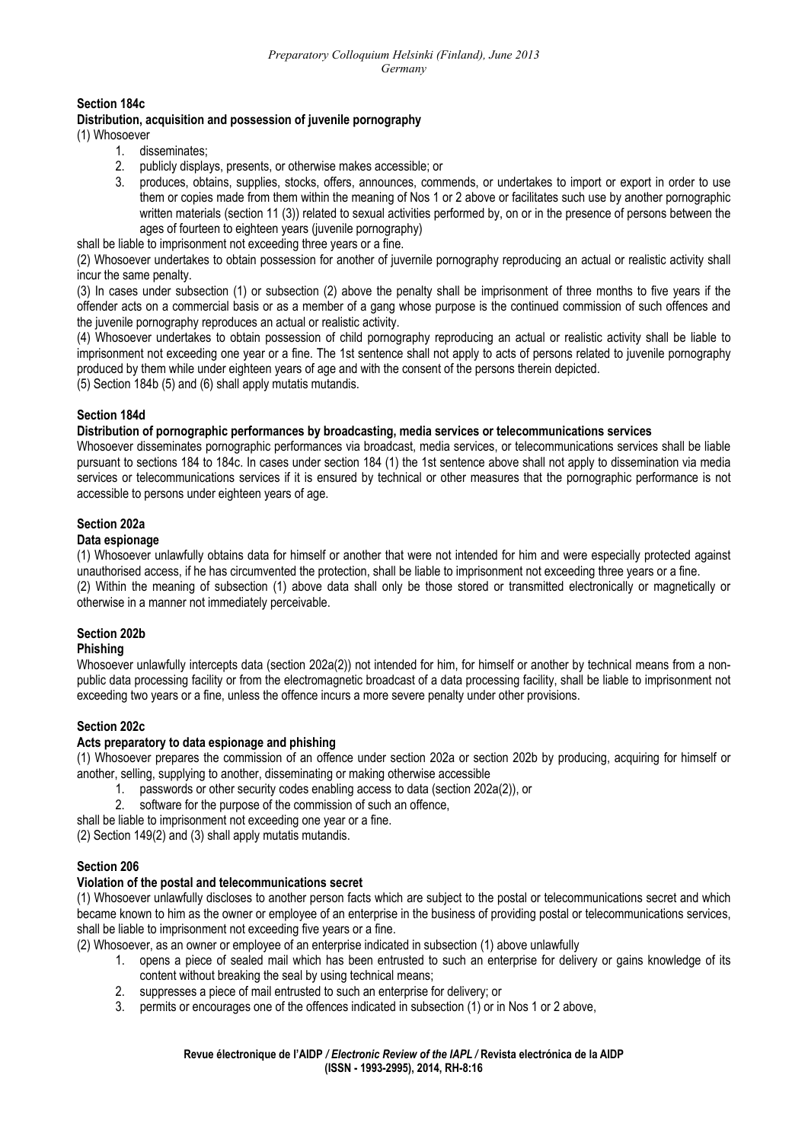### **Section 184c**

#### **Distribution, acquisition and possession of juvenile pornography**

(1) Whosoever

- 1. disseminates;
- 2. publicly displays, presents, or otherwise makes accessible; or
- 3. produces, obtains, supplies, stocks, offers, announces, commends, or undertakes to import or export in order to use them or copies made from them within the meaning of Nos 1 or 2 above or facilitates such use by another pornographic written materials (section 11 (3)) related to sexual activities performed by, on or in the presence of persons between the ages of fourteen to eighteen years (juvenile pornography)

shall be liable to imprisonment not exceeding three years or a fine.

(2) Whosoever undertakes to obtain possession for another of juvernile pornography reproducing an actual or realistic activity shall incur the same penalty.

(3) In cases under subsection (1) or subsection (2) above the penalty shall be imprisonment of three months to five years if the offender acts on a commercial basis or as a member of a gang whose purpose is the continued commission of such offences and the juvenile pornography reproduces an actual or realistic activity.

(4) Whosoever undertakes to obtain possession of child pornography reproducing an actual or realistic activity shall be liable to imprisonment not exceeding one year or a fine. The 1st sentence shall not apply to acts of persons related to juvenile pornography produced by them while under eighteen years of age and with the consent of the persons therein depicted.

(5) Section 184b (5) and (6) shall apply mutatis mutandis.

### **Section 184d**

#### **Distribution of pornographic performances by broadcasting, media services or telecommunications services**

Whosoever disseminates pornographic performances via broadcast, media services, or telecommunications services shall be liable pursuant to sections 184 to 184c. In cases under section 184 (1) the 1st sentence above shall not apply to dissemination via media services or telecommunications services if it is ensured by technical or other measures that the pornographic performance is not accessible to persons under eighteen years of age.

### **Section 202a**

#### **Data espionage**

(1) Whosoever unlawfully obtains data for himself or another that were not intended for him and were especially protected against unauthorised access, if he has circumvented the protection, shall be liable to imprisonment not exceeding three years or a fine. (2) Within the meaning of subsection (1) above data shall only be those stored or transmitted electronically or magnetically or otherwise in a manner not immediately perceivable.

### **Section 202b**

#### **Phishing**

Whosoever unlawfully intercepts data (section 202a(2)) not intended for him, for himself or another by technical means from a nonpublic data processing facility or from the electromagnetic broadcast of a data processing facility, shall be liable to imprisonment not exceeding two years or a fine, unless the offence incurs a more severe penalty under other provisions.

### **Section 202c**

#### **Acts preparatory to data espionage and phishing**

(1) Whosoever prepares the commission of an offence under section 202a or section 202b by producing, acquiring for himself or another, selling, supplying to another, disseminating or making otherwise accessible

- 1. passwords or other security codes enabling access to data (section 202a(2)), or
- 2. software for the purpose of the commission of such an offence,
- shall be liable to imprisonment not exceeding one year or a fine.

(2) Section 149(2) and (3) shall apply mutatis mutandis.

### **Section 206**

### **Violation of the postal and telecommunications secret**

(1) Whosoever unlawfully discloses to another person facts which are subject to the postal or telecommunications secret and which became known to him as the owner or employee of an enterprise in the business of providing postal or telecommunications services, shall be liable to imprisonment not exceeding five years or a fine.

(2) Whosoever, as an owner or employee of an enterprise indicated in subsection (1) above unlawfully

- 1. opens a piece of sealed mail which has been entrusted to such an enterprise for delivery or gains knowledge of its content without breaking the seal by using technical means;
- 2. suppresses a piece of mail entrusted to such an enterprise for delivery; or
- 3. permits or encourages one of the offences indicated in subsection (1) or in Nos 1 or 2 above,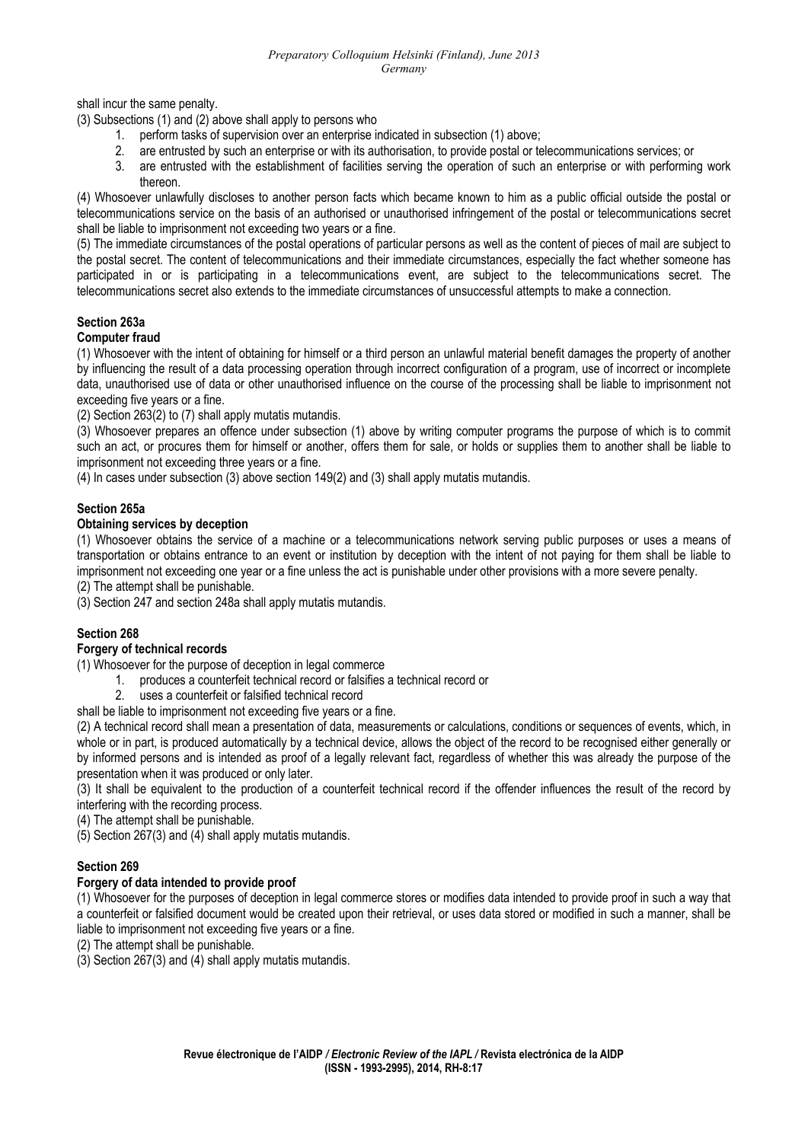shall incur the same penalty.

(3) Subsections (1) and (2) above shall apply to persons who

- 1. perform tasks of supervision over an enterprise indicated in subsection (1) above;
- 2. are entrusted by such an enterprise or with its authorisation, to provide postal or telecommunications services; or
- 3. are entrusted with the establishment of facilities serving the operation of such an enterprise or with performing work thereon.

(4) Whosoever unlawfully discloses to another person facts which became known to him as a public official outside the postal or telecommunications service on the basis of an authorised or unauthorised infringement of the postal or telecommunications secret shall be liable to imprisonment not exceeding two years or a fine.

(5) The immediate circumstances of the postal operations of particular persons as well as the content of pieces of mail are subject to the postal secret. The content of telecommunications and their immediate circumstances, especially the fact whether someone has participated in or is participating in a telecommunications event, are subject to the telecommunications secret. The telecommunications secret also extends to the immediate circumstances of unsuccessful attempts to make a connection.

### **Section 263a**

#### **Computer fraud**

(1) Whosoever with the intent of obtaining for himself or a third person an unlawful material benefit damages the property of another by influencing the result of a data processing operation through incorrect configuration of a program, use of incorrect or incomplete data, unauthorised use of data or other unauthorised influence on the course of the processing shall be liable to imprisonment not exceeding five years or a fine.

(2) Section 263(2) to (7) shall apply mutatis mutandis.

(3) Whosoever prepares an offence under subsection (1) above by writing computer programs the purpose of which is to commit such an act, or procures them for himself or another, offers them for sale, or holds or supplies them to another shall be liable to imprisonment not exceeding three years or a fine.

(4) In cases under subsection (3) above section 149(2) and (3) shall apply mutatis mutandis.

### **Section 265a**

#### **Obtaining services by deception**

(1) Whosoever obtains the service of a machine or a telecommunications network serving public purposes or uses a means of transportation or obtains entrance to an event or institution by deception with the intent of not paying for them shall be liable to imprisonment not exceeding one year or a fine unless the act is punishable under other provisions with a more severe penalty.

(2) The attempt shall be punishable.

(3) Section 247 and section 248a shall apply mutatis mutandis.

### **Section 268**

# **Forgery of technical records**

(1) Whosoever for the purpose of deception in legal commerce

- 1. produces a counterfeit technical record or falsifies a technical record or
- 2. uses a counterfeit or falsified technical record
- shall be liable to imprisonment not exceeding five years or a fine.

(2) A technical record shall mean a presentation of data, measurements or calculations, conditions or sequences of events, which, in whole or in part, is produced automatically by a technical device, allows the object of the record to be recognised either generally or by informed persons and is intended as proof of a legally relevant fact, regardless of whether this was already the purpose of the presentation when it was produced or only later.

(3) It shall be equivalent to the production of a counterfeit technical record if the offender influences the result of the record by interfering with the recording process.

(4) The attempt shall be punishable.

(5) Section 267(3) and (4) shall apply mutatis mutandis.

### **Section 269**

### **Forgery of data intended to provide proof**

(1) Whosoever for the purposes of deception in legal commerce stores or modifies data intended to provide proof in such a way that a counterfeit or falsified document would be created upon their retrieval, or uses data stored or modified in such a manner, shall be liable to imprisonment not exceeding five years or a fine.

(2) The attempt shall be punishable.

(3) Section 267(3) and (4) shall apply mutatis mutandis.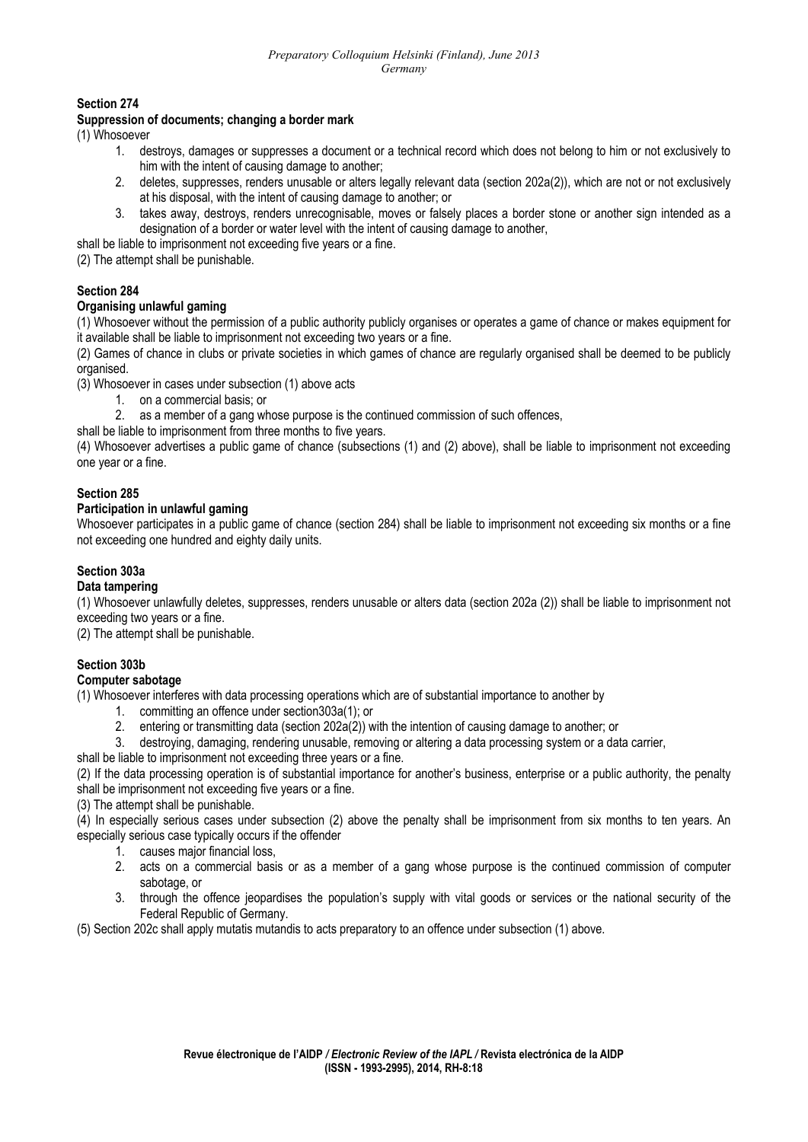**Section 274** 

#### **Suppression of documents; changing a border mark**

(1) Whosoever

- 1. destroys, damages or suppresses a document or a technical record which does not belong to him or not exclusively to him with the intent of causing damage to another;
- 2. deletes, suppresses, renders unusable or alters legally relevant data (section 202a(2)), which are not or not exclusively at his disposal, with the intent of causing damage to another; or
- 3. takes away, destroys, renders unrecognisable, moves or falsely places a border stone or another sign intended as a designation of a border or water level with the intent of causing damage to another,

shall be liable to imprisonment not exceeding five years or a fine.

(2) The attempt shall be punishable.

# **Section 284**

### **Organising unlawful gaming**

(1) Whosoever without the permission of a public authority publicly organises or operates a game of chance or makes equipment for it available shall be liable to imprisonment not exceeding two years or a fine.

(2) Games of chance in clubs or private societies in which games of chance are regularly organised shall be deemed to be publicly organised.

(3) Whosoever in cases under subsection (1) above acts

1. on a commercial basis; or

2. as a member of a gang whose purpose is the continued commission of such offences,

shall be liable to imprisonment from three months to five years.

(4) Whosoever advertises a public game of chance (subsections (1) and (2) above), shall be liable to imprisonment not exceeding one year or a fine.

#### **Section 285**

### **Participation in unlawful gaming**

Whosoever participates in a public game of chance (section 284) shall be liable to imprisonment not exceeding six months or a fine not exceeding one hundred and eighty daily units.

### **Section 303a**

### **Data tampering**

(1) Whosoever unlawfully deletes, suppresses, renders unusable or alters data (section 202a (2)) shall be liable to imprisonment not exceeding two years or a fine.

(2) The attempt shall be punishable.

# **Section 303b**

#### **Computer sabotage**

(1) Whosoever interferes with data processing operations which are of substantial importance to another by

- 1. committing an offence under section303a(1); or
- 2. entering or transmitting data (section 202a(2)) with the intention of causing damage to another; or

3. destroying, damaging, rendering unusable, removing or altering a data processing system or a data carrier,

shall be liable to imprisonment not exceeding three years or a fine.

(2) If the data processing operation is of substantial importance for another's business, enterprise or a public authority, the penalty shall be imprisonment not exceeding five years or a fine.

(3) The attempt shall be punishable.

(4) In especially serious cases under subsection (2) above the penalty shall be imprisonment from six months to ten years. An especially serious case typically occurs if the offender

- 1. causes major financial loss,
- 2. acts on a commercial basis or as a member of a gang whose purpose is the continued commission of computer sabotage, or
- 3. through the offence jeopardises the population's supply with vital goods or services or the national security of the Federal Republic of Germany.

(5) Section 202c shall apply mutatis mutandis to acts preparatory to an offence under subsection (1) above.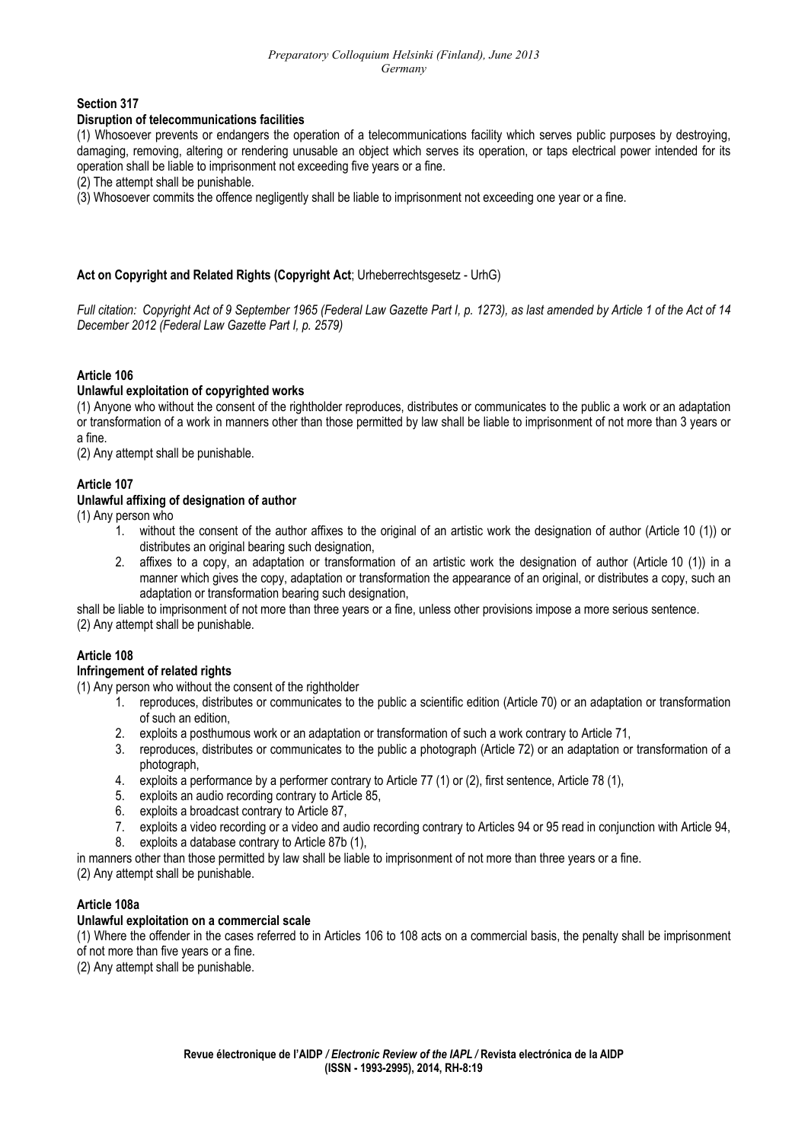#### **Section 317**

#### **Disruption of telecommunications facilities**

(1) Whosoever prevents or endangers the operation of a telecommunications facility which serves public purposes by destroying, damaging, removing, altering or rendering unusable an object which serves its operation, or taps electrical power intended for its operation shall be liable to imprisonment not exceeding five years or a fine.

(2) The attempt shall be punishable.

(3) Whosoever commits the offence negligently shall be liable to imprisonment not exceeding one year or a fine.

### **Act on Copyright and Related Rights (Copyright Act**; Urheberrechtsgesetz - UrhG)

*Full citation: Copyright Act of 9 September 1965 (Federal Law Gazette Part I, p. 1273), as last amended by Article 1 of the Act of 14 December 2012 (Federal Law Gazette Part I, p. 2579)* 

### **Article 106**

### **Unlawful exploitation of copyrighted works**

(1) Anyone who without the consent of the rightholder reproduces, distributes or communicates to the public a work or an adaptation or transformation of a work in manners other than those permitted by law shall be liable to imprisonment of not more than 3 years or a fine.

(2) Any attempt shall be punishable.

# **Article 107**

### **Unlawful affixing of designation of author**

(1) Any person who

- 1. without the consent of the author affixes to the original of an artistic work the designation of author (Article 10 (1)) or distributes an original bearing such designation,
- 2. affixes to a copy, an adaptation or transformation of an artistic work the designation of author (Article 10 (1)) in a manner which gives the copy, adaptation or transformation the appearance of an original, or distributes a copy, such an adaptation or transformation bearing such designation,

shall be liable to imprisonment of not more than three years or a fine, unless other provisions impose a more serious sentence. (2) Any attempt shall be punishable.

### **Article 108**

### **Infringement of related rights**

(1) Any person who without the consent of the rightholder

- 1. reproduces, distributes or communicates to the public a scientific edition (Article 70) or an adaptation or transformation of such an edition,
- 2. exploits a posthumous work or an adaptation or transformation of such a work contrary to Article 71,
- 3. reproduces, distributes or communicates to the public a photograph (Article 72) or an adaptation or transformation of a photograph,
- 4. exploits a performance by a performer contrary to Article 77 (1) or (2), first sentence, Article 78 (1),
- 5. exploits an audio recording contrary to Article 85,
- 6. exploits a broadcast contrary to Article 87,
- 7. exploits a video recording or a video and audio recording contrary to Articles 94 or 95 read in conjunction with Article 94,
- 8. exploits a database contrary to Article 87b (1),

in manners other than those permitted by law shall be liable to imprisonment of not more than three years or a fine.

(2) Any attempt shall be punishable.

### **Article 108a**

### **Unlawful exploitation on a commercial scale**

(1) Where the offender in the cases referred to in Articles 106 to 108 acts on a commercial basis, the penalty shall be imprisonment of not more than five years or a fine.

(2) Any attempt shall be punishable.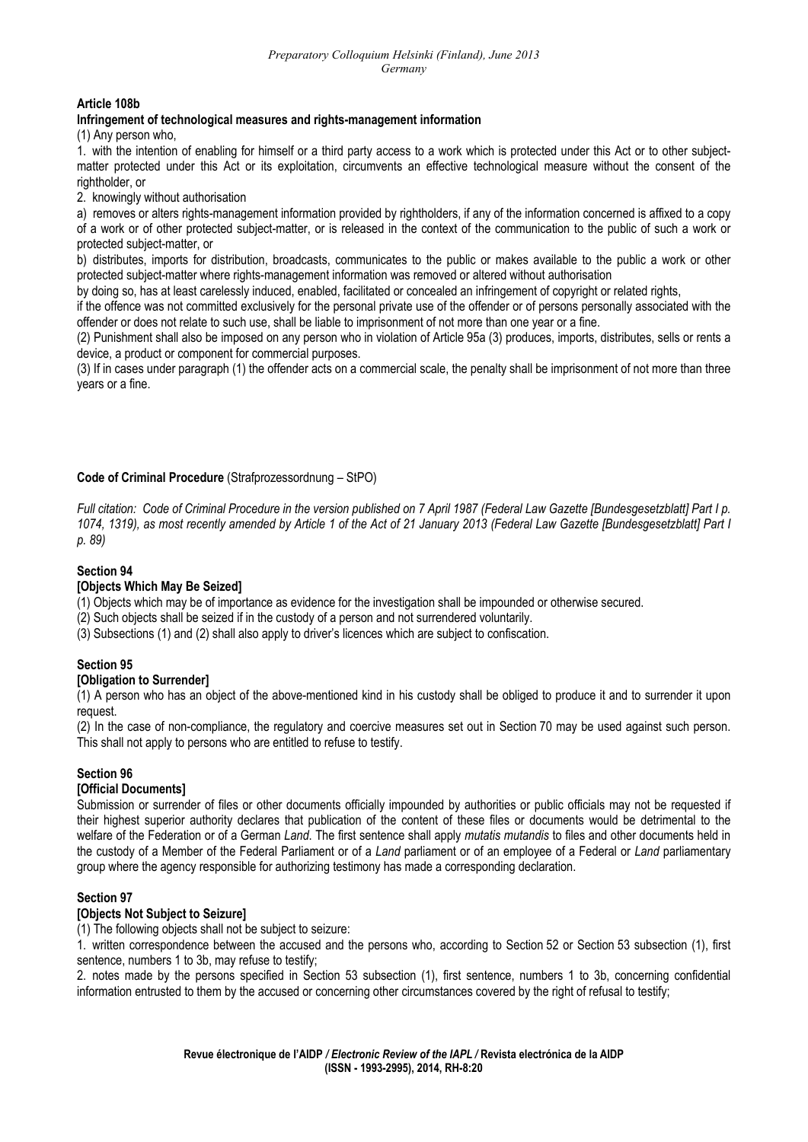### **Article 108b**

#### **Infringement of technological measures and rights-management information**

(1) Any person who,

1. with the intention of enabling for himself or a third party access to a work which is protected under this Act or to other subjectmatter protected under this Act or its exploitation, circumvents an effective technological measure without the consent of the rightholder, or

2. knowingly without authorisation

a) removes or alters rights-management information provided by rightholders, if any of the information concerned is affixed to a copy of a work or of other protected subject-matter, or is released in the context of the communication to the public of such a work or protected subject-matter, or

b) distributes, imports for distribution, broadcasts, communicates to the public or makes available to the public a work or other protected subject-matter where rights-management information was removed or altered without authorisation

by doing so, has at least carelessly induced, enabled, facilitated or concealed an infringement of copyright or related rights,

if the offence was not committed exclusively for the personal private use of the offender or of persons personally associated with the offender or does not relate to such use, shall be liable to imprisonment of not more than one year or a fine.

(2) Punishment shall also be imposed on any person who in violation of Article 95a (3) produces, imports, distributes, sells or rents a device, a product or component for commercial purposes.

(3) If in cases under paragraph (1) the offender acts on a commercial scale, the penalty shall be imprisonment of not more than three years or a fine.

### **Code of Criminal Procedure** (Strafprozessordnung – StPO)

*Full citation: Code of Criminal Procedure in the version published on 7 April 1987 (Federal Law Gazette [Bundesgesetzblatt] Part I p. 1074, 1319), as most recently amended by Article 1 of the Act of 21 January 2013 (Federal Law Gazette [Bundesgesetzblatt] Part I p. 89)* 

#### **Section 94**

#### **[Objects Which May Be Seized]**

(1) Objects which may be of importance as evidence for the investigation shall be impounded or otherwise secured.

(2) Such objects shall be seized if in the custody of a person and not surrendered voluntarily.

(3) Subsections (1) and (2) shall also apply to driver's licences which are subject to confiscation.

### **Section 95**

### **[Obligation to Surrender]**

(1) A person who has an object of the above-mentioned kind in his custody shall be obliged to produce it and to surrender it upon request.

(2) In the case of non-compliance, the regulatory and coercive measures set out in Section 70 may be used against such person. This shall not apply to persons who are entitled to refuse to testify.

### **Section 96**

### **[Official Documents]**

Submission or surrender of files or other documents officially impounded by authorities or public officials may not be requested if their highest superior authority declares that publication of the content of these files or documents would be detrimental to the welfare of the Federation or of a German *Land*. The first sentence shall apply *mutatis mutandis* to files and other documents held in the custody of a Member of the Federal Parliament or of a *Land* parliament or of an employee of a Federal or *Land* parliamentary group where the agency responsible for authorizing testimony has made a corresponding declaration.

### **Section 97**

### **[Objects Not Subject to Seizure]**

(1) The following objects shall not be subject to seizure:

1. written correspondence between the accused and the persons who, according to Section 52 or Section 53 subsection (1), first sentence, numbers 1 to 3b, may refuse to testify;

2. notes made by the persons specified in Section 53 subsection (1), first sentence, numbers 1 to 3b, concerning confidential information entrusted to them by the accused or concerning other circumstances covered by the right of refusal to testify;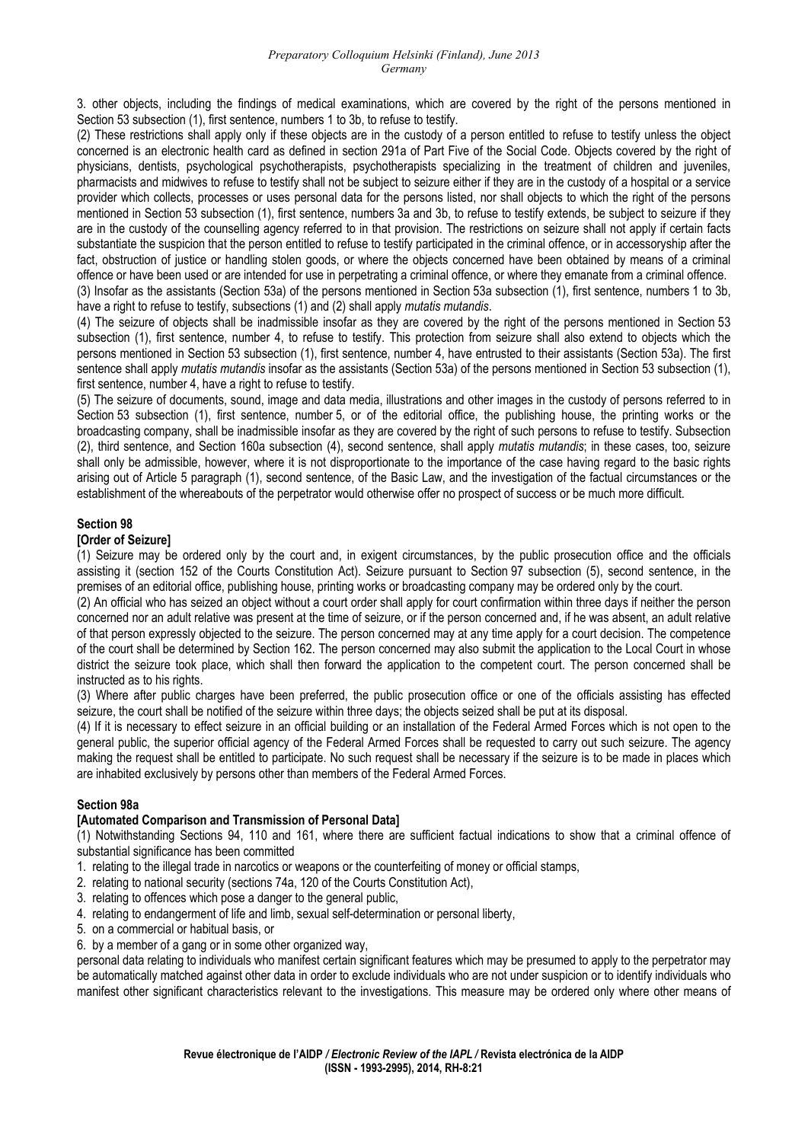3. other objects, including the findings of medical examinations, which are covered by the right of the persons mentioned in Section 53 subsection (1), first sentence, numbers 1 to 3b, to refuse to testify.

(2) These restrictions shall apply only if these objects are in the custody of a person entitled to refuse to testify unless the object concerned is an electronic health card as defined in section 291a of Part Five of the Social Code. Objects covered by the right of physicians, dentists, psychological psychotherapists, psychotherapists specializing in the treatment of children and juveniles, pharmacists and midwives to refuse to testify shall not be subject to seizure either if they are in the custody of a hospital or a service provider which collects, processes or uses personal data for the persons listed, nor shall objects to which the right of the persons mentioned in Section 53 subsection (1), first sentence, numbers 3a and 3b, to refuse to testify extends, be subject to seizure if they are in the custody of the counselling agency referred to in that provision. The restrictions on seizure shall not apply if certain facts substantiate the suspicion that the person entitled to refuse to testify participated in the criminal offence, or in accessoryship after the fact, obstruction of justice or handling stolen goods, or where the objects concerned have been obtained by means of a criminal offence or have been used or are intended for use in perpetrating a criminal offence, or where they emanate from a criminal offence. (3) Insofar as the assistants (Section 53a) of the persons mentioned in Section 53a subsection (1), first sentence, numbers 1 to 3b,

have a right to refuse to testify, subsections (1) and (2) shall apply *mutatis mutandis*.

(4) The seizure of objects shall be inadmissible insofar as they are covered by the right of the persons mentioned in Section 53 subsection (1), first sentence, number 4, to refuse to testify. This protection from seizure shall also extend to objects which the persons mentioned in Section 53 subsection (1), first sentence, number 4, have entrusted to their assistants (Section 53a). The first sentence shall apply *mutatis mutandis* insofar as the assistants (Section 53a) of the persons mentioned in Section 53 subsection (1), first sentence, number 4, have a right to refuse to testify.

(5) The seizure of documents, sound, image and data media, illustrations and other images in the custody of persons referred to in Section 53 subsection (1), first sentence, number 5, or of the editorial office, the publishing house, the printing works or the broadcasting company, shall be inadmissible insofar as they are covered by the right of such persons to refuse to testify. Subsection (2), third sentence, and Section 160a subsection (4), second sentence, shall apply *mutatis mutandis*; in these cases, too, seizure shall only be admissible, however, where it is not disproportionate to the importance of the case having regard to the basic rights arising out of Article 5 paragraph (1), second sentence, of the Basic Law, and the investigation of the factual circumstances or the establishment of the whereabouts of the perpetrator would otherwise offer no prospect of success or be much more difficult.

#### **Section 98**

#### **[Order of Seizure]**

(1) Seizure may be ordered only by the court and, in exigent circumstances, by the public prosecution office and the officials assisting it (section 152 of the Courts Constitution Act). Seizure pursuant to Section 97 subsection (5), second sentence, in the premises of an editorial office, publishing house, printing works or broadcasting company may be ordered only by the court.

(2) An official who has seized an object without a court order shall apply for court confirmation within three days if neither the person concerned nor an adult relative was present at the time of seizure, or if the person concerned and, if he was absent, an adult relative of that person expressly objected to the seizure. The person concerned may at any time apply for a court decision. The competence of the court shall be determined by Section 162. The person concerned may also submit the application to the Local Court in whose district the seizure took place, which shall then forward the application to the competent court. The person concerned shall be instructed as to his rights.

(3) Where after public charges have been preferred, the public prosecution office or one of the officials assisting has effected seizure, the court shall be notified of the seizure within three days; the objects seized shall be put at its disposal.

(4) If it is necessary to effect seizure in an official building or an installation of the Federal Armed Forces which is not open to the general public, the superior official agency of the Federal Armed Forces shall be requested to carry out such seizure. The agency making the request shall be entitled to participate. No such request shall be necessary if the seizure is to be made in places which are inhabited exclusively by persons other than members of the Federal Armed Forces.

#### **Section 98a**

# **[Automated Comparison and Transmission of Personal Data]**

(1) Notwithstanding Sections 94, 110 and 161, where there are sufficient factual indications to show that a criminal offence of substantial significance has been committed

- 1. relating to the illegal trade in narcotics or weapons or the counterfeiting of money or official stamps,
- 2. relating to national security (sections 74a, 120 of the Courts Constitution Act),
- 3. relating to offences which pose a danger to the general public,
- 4. relating to endangerment of life and limb, sexual self-determination or personal liberty,
- 5. on a commercial or habitual basis, or
- 6. by a member of a gang or in some other organized way,

personal data relating to individuals who manifest certain significant features which may be presumed to apply to the perpetrator may be automatically matched against other data in order to exclude individuals who are not under suspicion or to identify individuals who manifest other significant characteristics relevant to the investigations. This measure may be ordered only where other means of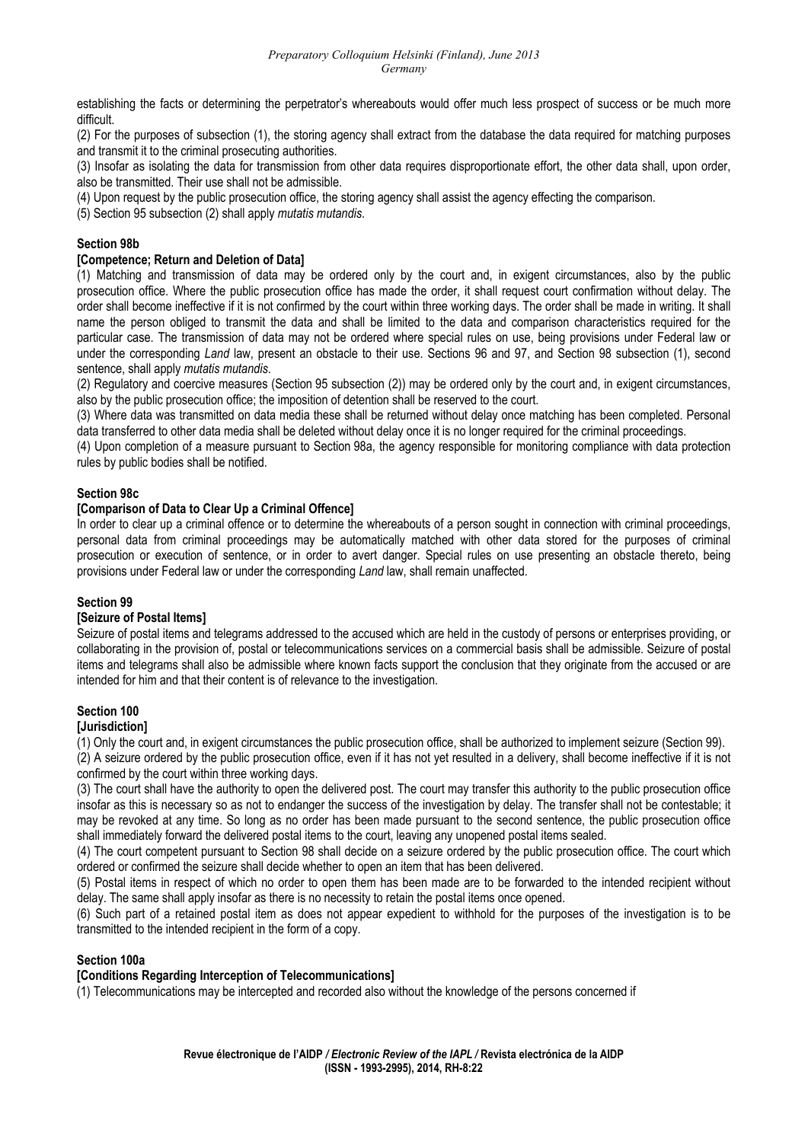#### *Preparatory Colloquium Helsinki (Finland), June 2013 Germany*

establishing the facts or determining the perpetrator's whereabouts would offer much less prospect of success or be much more difficult.

(2) For the purposes of subsection (1), the storing agency shall extract from the database the data required for matching purposes and transmit it to the criminal prosecuting authorities.

(3) Insofar as isolating the data for transmission from other data requires disproportionate effort, the other data shall, upon order, also be transmitted. Their use shall not be admissible.

(4) Upon request by the public prosecution office, the storing agency shall assist the agency effecting the comparison.

(5) Section 95 subsection (2) shall apply *mutatis mutandis*.

#### **Section 98b**

#### **[Competence; Return and Deletion of Data]**

(1) Matching and transmission of data may be ordered only by the court and, in exigent circumstances, also by the public prosecution office. Where the public prosecution office has made the order, it shall request court confirmation without delay. The order shall become ineffective if it is not confirmed by the court within three working days. The order shall be made in writing. It shall name the person obliged to transmit the data and shall be limited to the data and comparison characteristics required for the particular case. The transmission of data may not be ordered where special rules on use, being provisions under Federal law or under the corresponding *Land* law, present an obstacle to their use. Sections 96 and 97, and Section 98 subsection (1), second sentence, shall apply *mutatis mutandis*.

(2) Regulatory and coercive measures (Section 95 subsection (2)) may be ordered only by the court and, in exigent circumstances, also by the public prosecution office; the imposition of detention shall be reserved to the court.

(3) Where data was transmitted on data media these shall be returned without delay once matching has been completed. Personal data transferred to other data media shall be deleted without delay once it is no longer required for the criminal proceedings.

(4) Upon completion of a measure pursuant to Section 98a, the agency responsible for monitoring compliance with data protection rules by public bodies shall be notified.

#### **Section 98c**

#### **[Comparison of Data to Clear Up a Criminal Offence]**

In order to clear up a criminal offence or to determine the whereabouts of a person sought in connection with criminal proceedings, personal data from criminal proceedings may be automatically matched with other data stored for the purposes of criminal prosecution or execution of sentence, or in order to avert danger. Special rules on use presenting an obstacle thereto, being provisions under Federal law or under the corresponding *Land* law, shall remain unaffected.

#### **Section 99**

#### **[Seizure of Postal Items]**

Seizure of postal items and telegrams addressed to the accused which are held in the custody of persons or enterprises providing, or collaborating in the provision of, postal or telecommunications services on a commercial basis shall be admissible. Seizure of postal items and telegrams shall also be admissible where known facts support the conclusion that they originate from the accused or are intended for him and that their content is of relevance to the investigation.

#### **Section 100 [Jurisdiction]**

(1) Only the court and, in exigent circumstances the public prosecution office, shall be authorized to implement seizure (Section 99).

(2) A seizure ordered by the public prosecution office, even if it has not yet resulted in a delivery, shall become ineffective if it is not confirmed by the court within three working days.

(3) The court shall have the authority to open the delivered post. The court may transfer this authority to the public prosecution office insofar as this is necessary so as not to endanger the success of the investigation by delay. The transfer shall not be contestable; it may be revoked at any time. So long as no order has been made pursuant to the second sentence, the public prosecution office shall immediately forward the delivered postal items to the court, leaving any unopened postal items sealed.

(4) The court competent pursuant to Section 98 shall decide on a seizure ordered by the public prosecution office. The court which ordered or confirmed the seizure shall decide whether to open an item that has been delivered.

(5) Postal items in respect of which no order to open them has been made are to be forwarded to the intended recipient without delay. The same shall apply insofar as there is no necessity to retain the postal items once opened.

(6) Such part of a retained postal item as does not appear expedient to withhold for the purposes of the investigation is to be transmitted to the intended recipient in the form of a copy.

### **Section 100a**

#### **[Conditions Regarding Interception of Telecommunications]**

(1) Telecommunications may be intercepted and recorded also without the knowledge of the persons concerned if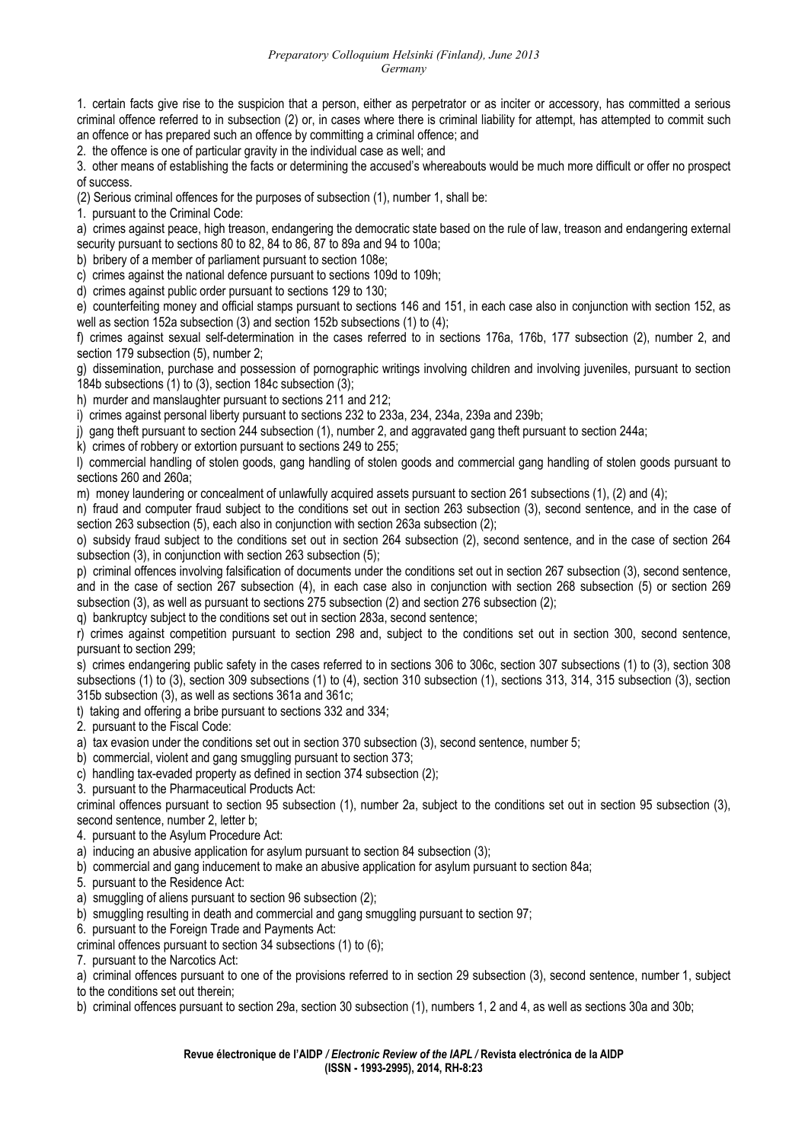#### *Preparatory Colloquium Helsinki (Finland), June 2013 Germany*

1. certain facts give rise to the suspicion that a person, either as perpetrator or as inciter or accessory, has committed a serious criminal offence referred to in subsection (2) or, in cases where there is criminal liability for attempt, has attempted to commit such an offence or has prepared such an offence by committing a criminal offence; and

2. the offence is one of particular gravity in the individual case as well; and

3. other means of establishing the facts or determining the accused's whereabouts would be much more difficult or offer no prospect of success.

(2) Serious criminal offences for the purposes of subsection (1), number 1, shall be:

1. pursuant to the Criminal Code:

a) crimes against peace, high treason, endangering the democratic state based on the rule of law, treason and endangering external security pursuant to sections 80 to 82, 84 to 86, 87 to 89a and 94 to 100a;

b) bribery of a member of parliament pursuant to section 108e;

c) crimes against the national defence pursuant to sections 109d to 109h;

d) crimes against public order pursuant to sections 129 to 130;

e) counterfeiting money and official stamps pursuant to sections 146 and 151, in each case also in conjunction with section 152, as well as section 152a subsection (3) and section 152b subsections (1) to (4);

f) crimes against sexual self-determination in the cases referred to in sections 176a, 176b, 177 subsection (2), number 2, and section 179 subsection (5), number 2;

g) dissemination, purchase and possession of pornographic writings involving children and involving juveniles, pursuant to section 184b subsections (1) to (3), section 184c subsection (3);

h) murder and manslaughter pursuant to sections 211 and 212;

i) crimes against personal liberty pursuant to sections 232 to 233a, 234, 234a, 239a and 239b;

j) gang theft pursuant to section 244 subsection (1), number 2, and aggravated gang theft pursuant to section 244a;

k) crimes of robbery or extortion pursuant to sections 249 to 255;

l) commercial handling of stolen goods, gang handling of stolen goods and commercial gang handling of stolen goods pursuant to sections 260 and 260a;

m) money laundering or concealment of unlawfully acquired assets pursuant to section 261 subsections (1), (2) and (4);

n) fraud and computer fraud subject to the conditions set out in section 263 subsection (3), second sentence, and in the case of section 263 subsection (5), each also in conjunction with section 263a subsection (2);

o) subsidy fraud subject to the conditions set out in section 264 subsection (2), second sentence, and in the case of section 264 subsection (3), in conjunction with section 263 subsection (5);

p) criminal offences involving falsification of documents under the conditions set out in section 267 subsection (3), second sentence, and in the case of section 267 subsection (4), in each case also in conjunction with section 268 subsection (5) or section 269 subsection (3), as well as pursuant to sections 275 subsection (2) and section 276 subsection (2);

q) bankruptcy subject to the conditions set out in section 283a, second sentence;

r) crimes against competition pursuant to section 298 and, subject to the conditions set out in section 300, second sentence, pursuant to section 299;

s) crimes endangering public safety in the cases referred to in sections 306 to 306c, section 307 subsections (1) to (3), section 308 subsections (1) to (3), section 309 subsections (1) to (4), section 310 subsection (1), sections 313, 314, 315 subsection (3), section 315b subsection (3), as well as sections 361a and 361c;

t) taking and offering a bribe pursuant to sections 332 and 334;

2. pursuant to the Fiscal Code:

a) tax evasion under the conditions set out in section 370 subsection (3), second sentence, number 5;

b) commercial, violent and gang smuggling pursuant to section 373;

c) handling tax-evaded property as defined in section 374 subsection (2);

3. pursuant to the Pharmaceutical Products Act:

criminal offences pursuant to section 95 subsection (1), number 2a, subject to the conditions set out in section 95 subsection (3), second sentence, number 2, letter b;

4. pursuant to the Asylum Procedure Act:

- a) inducing an abusive application for asylum pursuant to section 84 subsection (3);
- b) commercial and gang inducement to make an abusive application for asylum pursuant to section 84a;
- 5. pursuant to the Residence Act:
- a) smuggling of aliens pursuant to section 96 subsection (2);
- b) smuggling resulting in death and commercial and gang smuggling pursuant to section 97;
- 6. pursuant to the Foreign Trade and Payments Act:

criminal offences pursuant to section 34 subsections (1) to (6);

7. pursuant to the Narcotics Act:

a) criminal offences pursuant to one of the provisions referred to in section 29 subsection (3), second sentence, number 1, subject

to the conditions set out therein;

b) criminal offences pursuant to section 29a, section 30 subsection (1), numbers 1, 2 and 4, as well as sections 30a and 30b;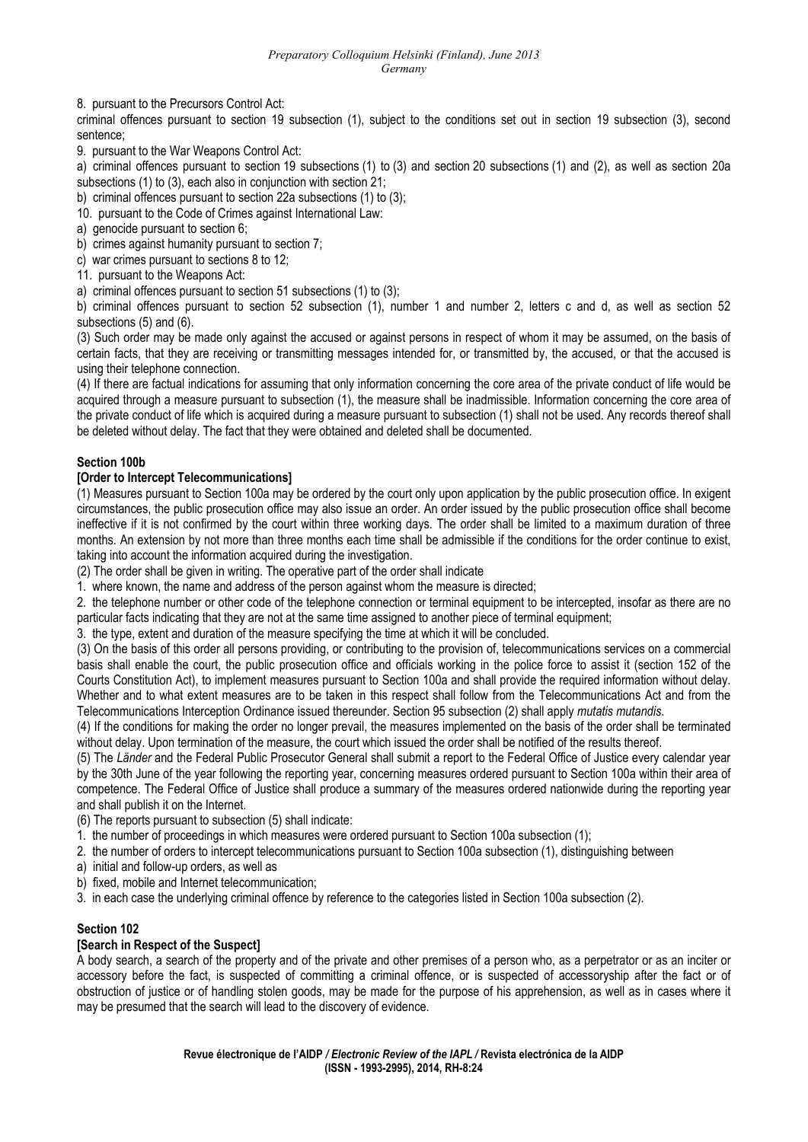8. pursuant to the Precursors Control Act:

criminal offences pursuant to section 19 subsection (1), subject to the conditions set out in section 19 subsection (3), second sentence;

9. pursuant to the War Weapons Control Act:

a) criminal offences pursuant to section 19 subsections (1) to (3) and section 20 subsections (1) and (2), as well as section 20a subsections (1) to (3), each also in conjunction with section 21;

- b) criminal offences pursuant to section 22a subsections (1) to (3);
- 10. pursuant to the Code of Crimes against International Law:
- a) genocide pursuant to section 6:
- b) crimes against humanity pursuant to section 7;
- c) war crimes pursuant to sections 8 to 12;
- 11. pursuant to the Weapons Act:
- a) criminal offences pursuant to section 51 subsections (1) to (3);

b) criminal offences pursuant to section 52 subsection (1), number 1 and number 2, letters c and d, as well as section 52 subsections (5) and (6).

(3) Such order may be made only against the accused or against persons in respect of whom it may be assumed, on the basis of certain facts, that they are receiving or transmitting messages intended for, or transmitted by, the accused, or that the accused is using their telephone connection.

(4) If there are factual indications for assuming that only information concerning the core area of the private conduct of life would be acquired through a measure pursuant to subsection (1), the measure shall be inadmissible. Information concerning the core area of the private conduct of life which is acquired during a measure pursuant to subsection (1) shall not be used. Any records thereof shall be deleted without delay. The fact that they were obtained and deleted shall be documented*.*

### **Section 100b**

# **[Order to Intercept Telecommunications]**

(1) Measures pursuant to Section 100a may be ordered by the court only upon application by the public prosecution office. In exigent circumstances, the public prosecution office may also issue an order. An order issued by the public prosecution office shall become ineffective if it is not confirmed by the court within three working days. The order shall be limited to a maximum duration of three months. An extension by not more than three months each time shall be admissible if the conditions for the order continue to exist, taking into account the information acquired during the investigation.

(2) The order shall be given in writing. The operative part of the order shall indicate

1. where known, the name and address of the person against whom the measure is directed;

2. the telephone number or other code of the telephone connection or terminal equipment to be intercepted, insofar as there are no particular facts indicating that they are not at the same time assigned to another piece of terminal equipment;

3. the type, extent and duration of the measure specifying the time at which it will be concluded.

(3) On the basis of this order all persons providing, or contributing to the provision of, telecommunications services on a commercial basis shall enable the court, the public prosecution office and officials working in the police force to assist it (section 152 of the Courts Constitution Act), to implement measures pursuant to Section 100a and shall provide the required information without delay. Whether and to what extent measures are to be taken in this respect shall follow from the Telecommunications Act and from the Telecommunications Interception Ordinance issued thereunder. Section 95 subsection (2) shall apply *mutatis mutandis*.

(4) If the conditions for making the order no longer prevail, the measures implemented on the basis of the order shall be terminated without delay. Upon termination of the measure, the court which issued the order shall be notified of the results thereof.

(5) The *Länder* and the Federal Public Prosecutor General shall submit a report to the Federal Office of Justice every calendar year by the 30th June of the year following the reporting year, concerning measures ordered pursuant to Section 100a within their area of competence. The Federal Office of Justice shall produce a summary of the measures ordered nationwide during the reporting year and shall publish it on the Internet.

(6) The reports pursuant to subsection (5) shall indicate:

1. the number of proceedings in which measures were ordered pursuant to Section 100a subsection (1);

2. the number of orders to intercept telecommunications pursuant to Section 100a subsection (1), distinguishing between

a) initial and follow-up orders, as well as

b) fixed, mobile and Internet telecommunication;

3. in each case the underlying criminal offence by reference to the categories listed in Section 100a subsection (2).

### **Section 102**

### **[Search in Respect of the Suspect]**

A body search, a search of the property and of the private and other premises of a person who, as a perpetrator or as an inciter or accessory before the fact, is suspected of committing a criminal offence, or is suspected of accessoryship after the fact or of obstruction of justice or of handling stolen goods, may be made for the purpose of his apprehension, as well as in cases where it may be presumed that the search will lead to the discovery of evidence.

> **Revue électronique de l'AIDP** */ Electronic Review of the IAPL /* **Revista electrónica de la AIDP (ISSN - 1993-2995), 2014, RH-8:24**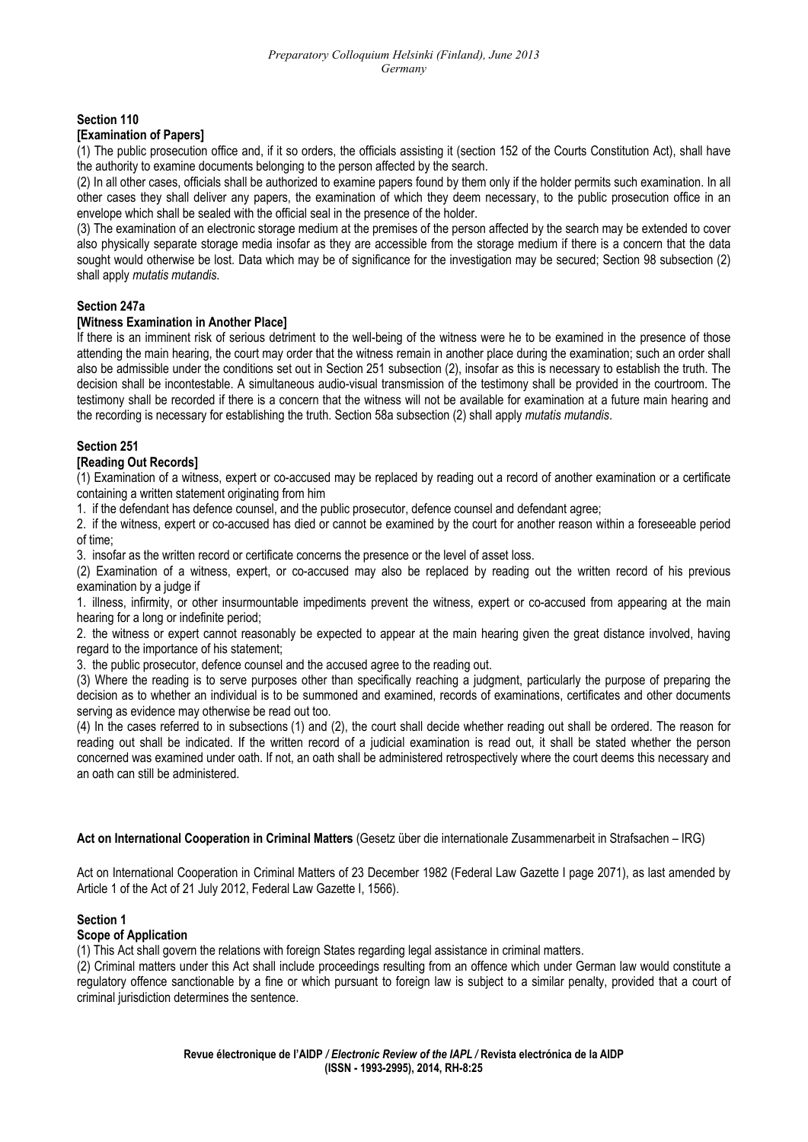### **Section 110**

#### **[Examination of Papers]**

(1) The public prosecution office and, if it so orders, the officials assisting it (section 152 of the Courts Constitution Act), shall have the authority to examine documents belonging to the person affected by the search.

(2) In all other cases, officials shall be authorized to examine papers found by them only if the holder permits such examination. In all other cases they shall deliver any papers, the examination of which they deem necessary, to the public prosecution office in an envelope which shall be sealed with the official seal in the presence of the holder.

(3) The examination of an electronic storage medium at the premises of the person affected by the search may be extended to cover also physically separate storage media insofar as they are accessible from the storage medium if there is a concern that the data sought would otherwise be lost. Data which may be of significance for the investigation may be secured; Section 98 subsection (2) shall apply *mutatis mutandis*.

#### **Section 247a**

#### **[Witness Examination in Another Place]**

If there is an imminent risk of serious detriment to the well-being of the witness were he to be examined in the presence of those attending the main hearing, the court may order that the witness remain in another place during the examination; such an order shall also be admissible under the conditions set out in Section 251 subsection (2), insofar as this is necessary to establish the truth. The decision shall be incontestable. A simultaneous audio-visual transmission of the testimony shall be provided in the courtroom. The testimony shall be recorded if there is a concern that the witness will not be available for examination at a future main hearing and the recording is necessary for establishing the truth. Section 58a subsection (2) shall apply *mutatis mutandis*.

#### **Section 251**

#### **[Reading Out Records]**

(1) Examination of a witness, expert or co-accused may be replaced by reading out a record of another examination or a certificate containing a written statement originating from him

1. if the defendant has defence counsel, and the public prosecutor, defence counsel and defendant agree;

2. if the witness, expert or co-accused has died or cannot be examined by the court for another reason within a foreseeable period of time;

3. insofar as the written record or certificate concerns the presence or the level of asset loss.

(2) Examination of a witness, expert, or co-accused may also be replaced by reading out the written record of his previous examination by a judge if

1. illness, infirmity, or other insurmountable impediments prevent the witness, expert or co-accused from appearing at the main hearing for a long or indefinite period;

2. the witness or expert cannot reasonably be expected to appear at the main hearing given the great distance involved, having regard to the importance of his statement;

3. the public prosecutor, defence counsel and the accused agree to the reading out.

(3) Where the reading is to serve purposes other than specifically reaching a judgment, particularly the purpose of preparing the decision as to whether an individual is to be summoned and examined, records of examinations, certificates and other documents serving as evidence may otherwise be read out too.

(4) In the cases referred to in subsections (1) and (2), the court shall decide whether reading out shall be ordered. The reason for reading out shall be indicated. If the written record of a judicial examination is read out, it shall be stated whether the person concerned was examined under oath. If not, an oath shall be administered retrospectively where the court deems this necessary and an oath can still be administered.

#### **Act on International Cooperation in Criminal Matters** (Gesetz über die internationale Zusammenarbeit in Strafsachen – IRG)

Act on International Cooperation in Criminal Matters of 23 December 1982 (Federal Law Gazette I page 2071), as last amended by Article 1 of the Act of 21 July 2012, Federal Law Gazette I, 1566).

#### **Section 1**

### **Scope of Application**

(1) This Act shall govern the relations with foreign States regarding legal assistance in criminal matters.

(2) Criminal matters under this Act shall include proceedings resulting from an offence which under German law would constitute a regulatory offence sanctionable by a fine or which pursuant to foreign law is subject to a similar penalty, provided that a court of criminal jurisdiction determines the sentence.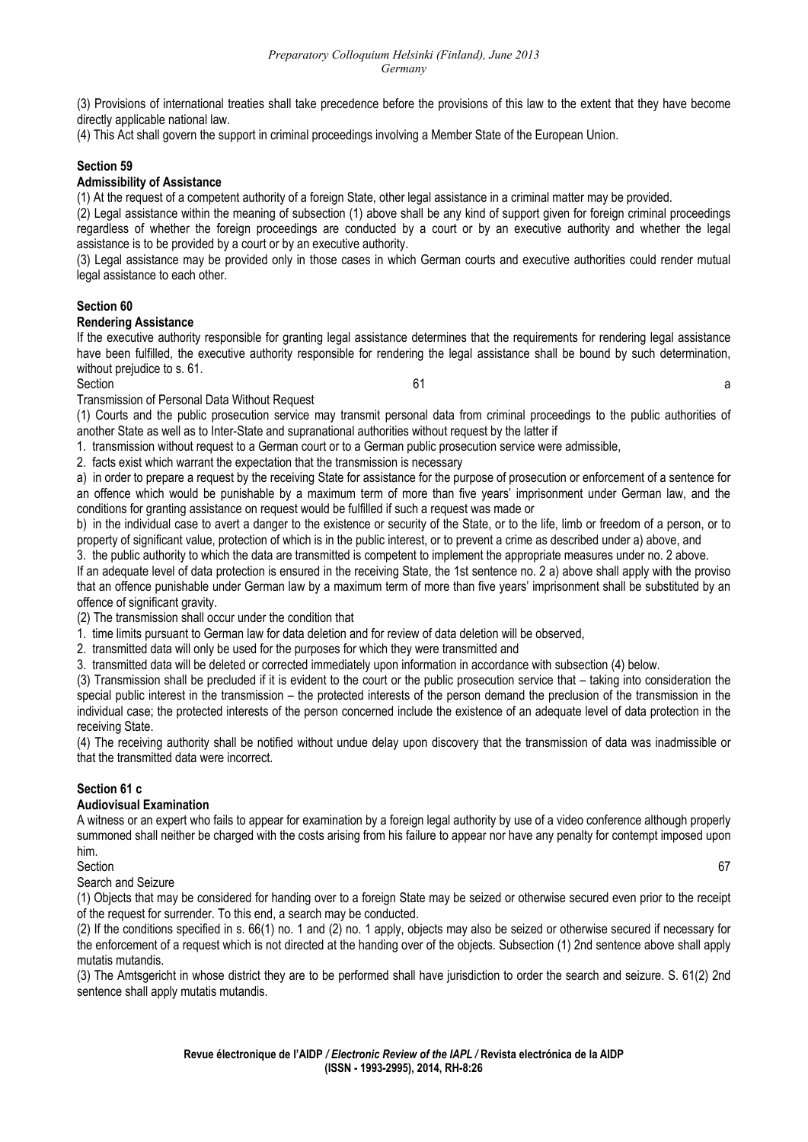(3) Provisions of international treaties shall take precedence before the provisions of this law to the extent that they have become directly applicable national law.

(4) This Act shall govern the support in criminal proceedings involving a Member State of the European Union.

### **Section 59**

#### **Admissibility of Assistance**

(1) At the request of a competent authority of a foreign State, other legal assistance in a criminal matter may be provided.

(2) Legal assistance within the meaning of subsection (1) above shall be any kind of support given for foreign criminal proceedings regardless of whether the foreign proceedings are conducted by a court or by an executive authority and whether the legal assistance is to be provided by a court or by an executive authority.

(3) Legal assistance may be provided only in those cases in which German courts and executive authorities could render mutual legal assistance to each other.

### **Section 60**

#### **Rendering Assistance**

If the executive authority responsible for granting legal assistance determines that the requirements for rendering legal assistance have been fulfilled, the executive authority responsible for rendering the legal assistance shall be bound by such determination, without prejudice to s. 61.

#### $S$ ection and  $S$  and  $S$  and  $S$  and  $S$  and  $S$  and  $S$  and  $S$  and  $S$  and  $S$  and  $S$  and  $S$  and  $S$  and  $S$  and  $S$  and  $S$  and  $S$  and  $S$  and  $S$  and  $S$  and  $S$  and  $S$  and  $S$  and  $S$  and  $S$  and  $S$  and  $S$  and

Transmission of Personal Data Without Request

(1) Courts and the public prosecution service may transmit personal data from criminal proceedings to the public authorities of another State as well as to Inter-State and supranational authorities without request by the latter if

1. transmission without request to a German court or to a German public prosecution service were admissible,

2. facts exist which warrant the expectation that the transmission is necessary

a) in order to prepare a request by the receiving State for assistance for the purpose of prosecution or enforcement of a sentence for an offence which would be punishable by a maximum term of more than five years' imprisonment under German law, and the conditions for granting assistance on request would be fulfilled if such a request was made or

b) in the individual case to avert a danger to the existence or security of the State, or to the life, limb or freedom of a person, or to property of significant value, protection of which is in the public interest, or to prevent a crime as described under a) above, and

3. the public authority to which the data are transmitted is competent to implement the appropriate measures under no. 2 above.

If an adequate level of data protection is ensured in the receiving State, the 1st sentence no. 2 a) above shall apply with the proviso that an offence punishable under German law by a maximum term of more than five years' imprisonment shall be substituted by an offence of significant gravity.

(2) The transmission shall occur under the condition that

1. time limits pursuant to German law for data deletion and for review of data deletion will be observed,

2. transmitted data will only be used for the purposes for which they were transmitted and

3. transmitted data will be deleted or corrected immediately upon information in accordance with subsection (4) below.

(3) Transmission shall be precluded if it is evident to the court or the public prosecution service that – taking into consideration the special public interest in the transmission – the protected interests of the person demand the preclusion of the transmission in the individual case; the protected interests of the person concerned include the existence of an adequate level of data protection in the receiving State.

(4) The receiving authority shall be notified without undue delay upon discovery that the transmission of data was inadmissible or that the transmitted data were incorrect.

# **Section 61 c**

# **Audiovisual Examination**

A witness or an expert who fails to appear for examination by a foreign legal authority by use of a video conference although properly summoned shall neither be charged with the costs arising from his failure to appear nor have any penalty for contempt imposed upon him.<br>Section

Section 67

Search and Seizure

(1) Objects that may be considered for handing over to a foreign State may be seized or otherwise secured even prior to the receipt of the request for surrender. To this end, a search may be conducted.

(2) If the conditions specified in s. 66(1) no. 1 and (2) no. 1 apply, objects may also be seized or otherwise secured if necessary for the enforcement of a request which is not directed at the handing over of the objects. Subsection (1) 2nd sentence above shall apply mutatis mutandis.

(3) The Amtsgericht in whose district they are to be performed shall have jurisdiction to order the search and seizure. S. 61(2) 2nd sentence shall apply mutatis mutandis.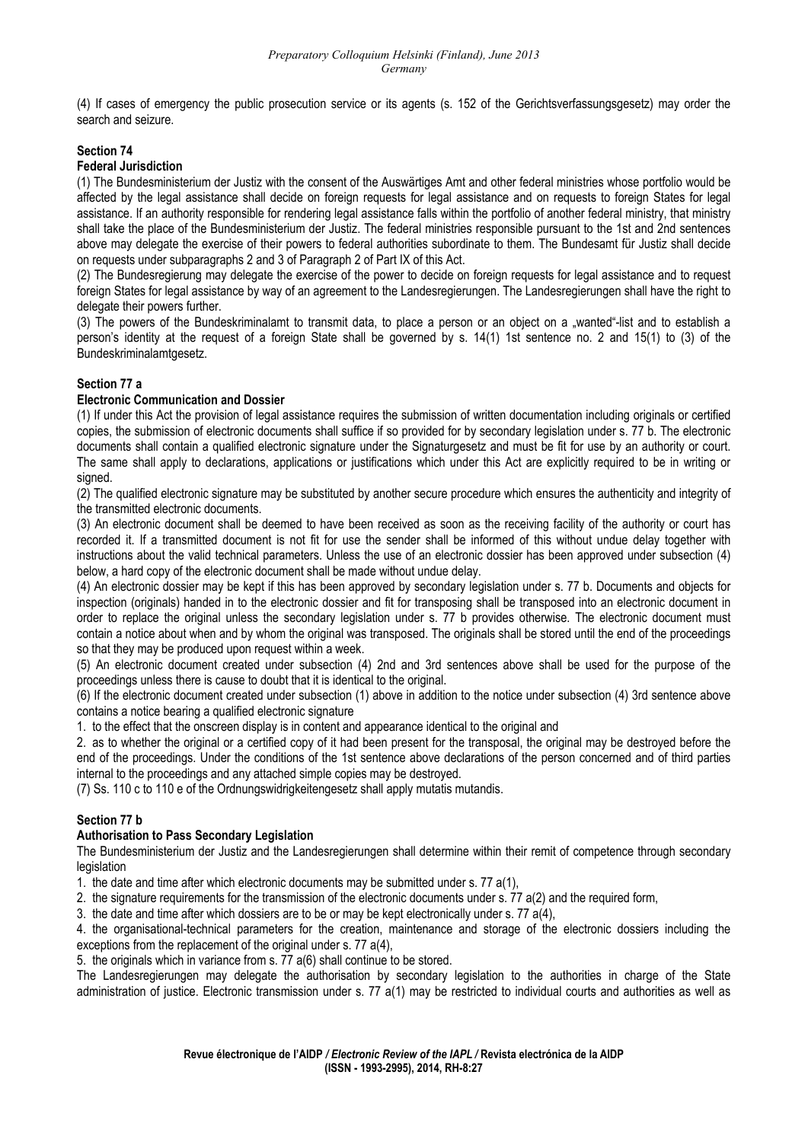(4) If cases of emergency the public prosecution service or its agents (s. 152 of the Gerichtsverfassungsgesetz) may order the search and seizure.

# **Section 74**

#### **Federal Jurisdiction**

(1) The Bundesministerium der Justiz with the consent of the Auswärtiges Amt and other federal ministries whose portfolio would be affected by the legal assistance shall decide on foreign requests for legal assistance and on requests to foreign States for legal assistance. If an authority responsible for rendering legal assistance falls within the portfolio of another federal ministry, that ministry shall take the place of the Bundesministerium der Justiz. The federal ministries responsible pursuant to the 1st and 2nd sentences above may delegate the exercise of their powers to federal authorities subordinate to them. The Bundesamt für Justiz shall decide on requests under subparagraphs 2 and 3 of Paragraph 2 of Part IX of this Act.

(2) The Bundesregierung may delegate the exercise of the power to decide on foreign requests for legal assistance and to request foreign States for legal assistance by way of an agreement to the Landesregierungen. The Landesregierungen shall have the right to delegate their powers further.

(3) The powers of the Bundeskriminalamt to transmit data, to place a person or an object on a "wanted"-list and to establish a person's identity at the request of a foreign State shall be governed by s. 14(1) 1st sentence no. 2 and 15(1) to (3) of the Bundeskriminalamtgesetz.

### **Section 77 a**

### **Electronic Communication and Dossier**

(1) If under this Act the provision of legal assistance requires the submission of written documentation including originals or certified copies, the submission of electronic documents shall suffice if so provided for by secondary legislation under s. 77 b. The electronic documents shall contain a qualified electronic signature under the Signaturgesetz and must be fit for use by an authority or court. The same shall apply to declarations, applications or justifications which under this Act are explicitly required to be in writing or signed.

(2) The qualified electronic signature may be substituted by another secure procedure which ensures the authenticity and integrity of the transmitted electronic documents.

(3) An electronic document shall be deemed to have been received as soon as the receiving facility of the authority or court has recorded it. If a transmitted document is not fit for use the sender shall be informed of this without undue delay together with instructions about the valid technical parameters. Unless the use of an electronic dossier has been approved under subsection (4) below, a hard copy of the electronic document shall be made without undue delay.

(4) An electronic dossier may be kept if this has been approved by secondary legislation under s. 77 b. Documents and objects for inspection (originals) handed in to the electronic dossier and fit for transposing shall be transposed into an electronic document in order to replace the original unless the secondary legislation under s. 77 b provides otherwise. The electronic document must contain a notice about when and by whom the original was transposed. The originals shall be stored until the end of the proceedings so that they may be produced upon request within a week.

(5) An electronic document created under subsection (4) 2nd and 3rd sentences above shall be used for the purpose of the proceedings unless there is cause to doubt that it is identical to the original.

(6) If the electronic document created under subsection (1) above in addition to the notice under subsection (4) 3rd sentence above contains a notice bearing a qualified electronic signature

1. to the effect that the onscreen display is in content and appearance identical to the original and

2. as to whether the original or a certified copy of it had been present for the transposal, the original may be destroyed before the end of the proceedings. Under the conditions of the 1st sentence above declarations of the person concerned and of third parties internal to the proceedings and any attached simple copies may be destroyed.

(7) Ss. 110 c to 110 e of the Ordnungswidrigkeitengesetz shall apply mutatis mutandis.

### **Section 77 b**

### **Authorisation to Pass Secondary Legislation**

The Bundesministerium der Justiz and the Landesregierungen shall determine within their remit of competence through secondary legislation

1. the date and time after which electronic documents may be submitted under s. 77 a(1),

2. the signature requirements for the transmission of the electronic documents under s. 77 a(2) and the required form,

3. the date and time after which dossiers are to be or may be kept electronically under s. 77 a(4),

4. the organisational-technical parameters for the creation, maintenance and storage of the electronic dossiers including the exceptions from the replacement of the original under s. 77 a(4).

5. the originals which in variance from s. 77 a(6) shall continue to be stored.

The Landesregierungen may delegate the authorisation by secondary legislation to the authorities in charge of the State administration of justice. Electronic transmission under s. 77 a(1) may be restricted to individual courts and authorities as well as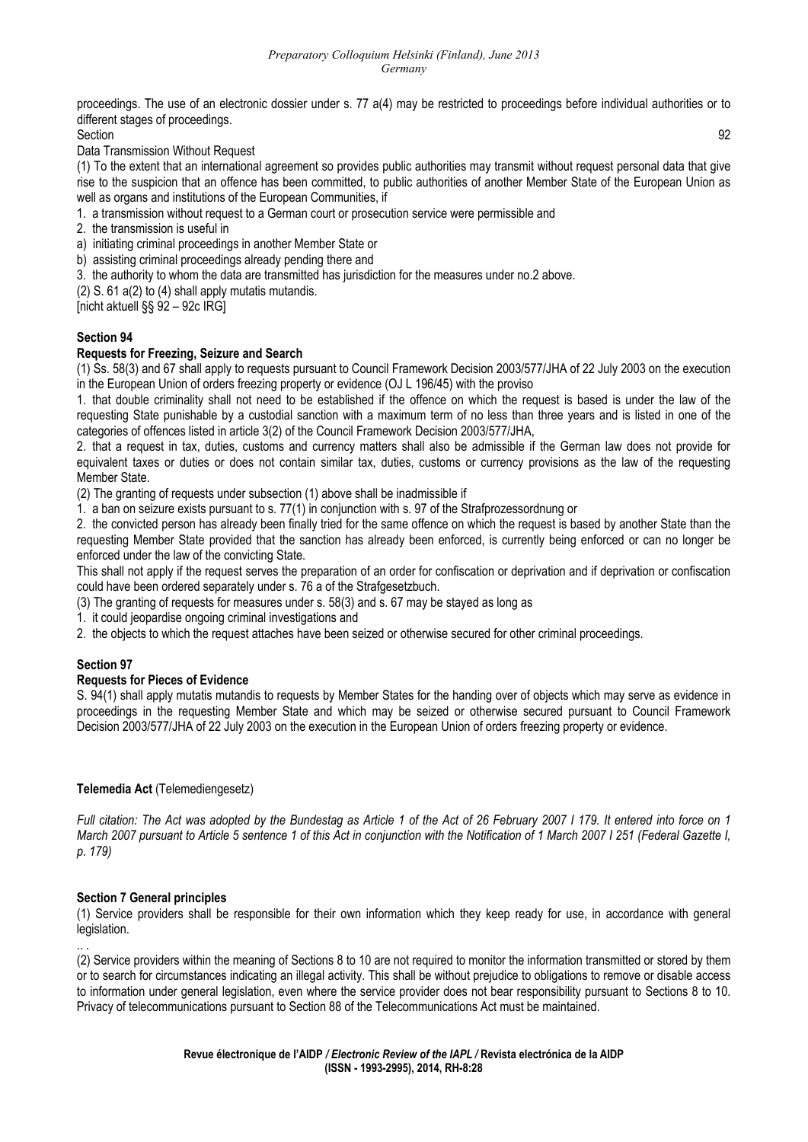proceedings. The use of an electronic dossier under s. 77 a(4) may be restricted to proceedings before individual authorities or to different stages of proceedings.

Section 92

Data Transmission Without Request

(1) To the extent that an international agreement so provides public authorities may transmit without request personal data that give rise to the suspicion that an offence has been committed, to public authorities of another Member State of the European Union as well as organs and institutions of the European Communities, if

1. a transmission without request to a German court or prosecution service were permissible and

2. the transmission is useful in

a) initiating criminal proceedings in another Member State or

- b) assisting criminal proceedings already pending there and
- 3. the authority to whom the data are transmitted has jurisdiction for the measures under no.2 above.
- (2) S. 61 a(2) to (4) shall apply mutatis mutandis.

[nicht aktuell §§ 92 – 92c IRG]

### **Section 94**

#### **Requests for Freezing, Seizure and Search**

(1) Ss. 58(3) and 67 shall apply to requests pursuant to Council Framework Decision 2003/577/JHA of 22 July 2003 on the execution in the European Union of orders freezing property or evidence (OJ L 196/45) with the proviso

1. that double criminality shall not need to be established if the offence on which the request is based is under the law of the requesting State punishable by a custodial sanction with a maximum term of no less than three years and is listed in one of the categories of offences listed in article 3(2) of the Council Framework Decision 2003/577/JHA,

2. that a request in tax, duties, customs and currency matters shall also be admissible if the German law does not provide for equivalent taxes or duties or does not contain similar tax, duties, customs or currency provisions as the law of the requesting Member State.

(2) The granting of requests under subsection (1) above shall be inadmissible if

1. a ban on seizure exists pursuant to s. 77(1) in conjunction with s. 97 of the Strafprozessordnung or

2. the convicted person has already been finally tried for the same offence on which the request is based by another State than the requesting Member State provided that the sanction has already been enforced, is currently being enforced or can no longer be enforced under the law of the convicting State.

This shall not apply if the request serves the preparation of an order for confiscation or deprivation and if deprivation or confiscation could have been ordered separately under s. 76 a of the Strafgesetzbuch.

(3) The granting of requests for measures under s. 58(3) and s. 67 may be stayed as long as

1. it could jeopardise ongoing criminal investigations and

2. the objects to which the request attaches have been seized or otherwise secured for other criminal proceedings.

### **Section 97**

#### **Requests for Pieces of Evidence**

S. 94(1) shall apply mutatis mutandis to requests by Member States for the handing over of objects which may serve as evidence in proceedings in the requesting Member State and which may be seized or otherwise secured pursuant to Council Framework Decision 2003/577/JHA of 22 July 2003 on the execution in the European Union of orders freezing property or evidence.

### **Telemedia Act** (Telemediengesetz)

*Full citation: The Act was adopted by the Bundestag as Article 1 of the Act of 26 February 2007 I 179. It entered into force on 1 March 2007 pursuant to Article 5 sentence 1 of this Act in conjunction with the Notification of 1 March 2007 I 251 (Federal Gazette I, p. 179)* 

### **Section 7 General principles**

(1) Service providers shall be responsible for their own information which they keep ready for use, in accordance with general legislation.

.. . (2) Service providers within the meaning of Sections 8 to 10 are not required to monitor the information transmitted or stored by them or to search for circumstances indicating an illegal activity. This shall be without prejudice to obligations to remove or disable access to information under general legislation, even where the service provider does not bear responsibility pursuant to Sections 8 to 10. Privacy of telecommunications pursuant to Section 88 of the Telecommunications Act must be maintained.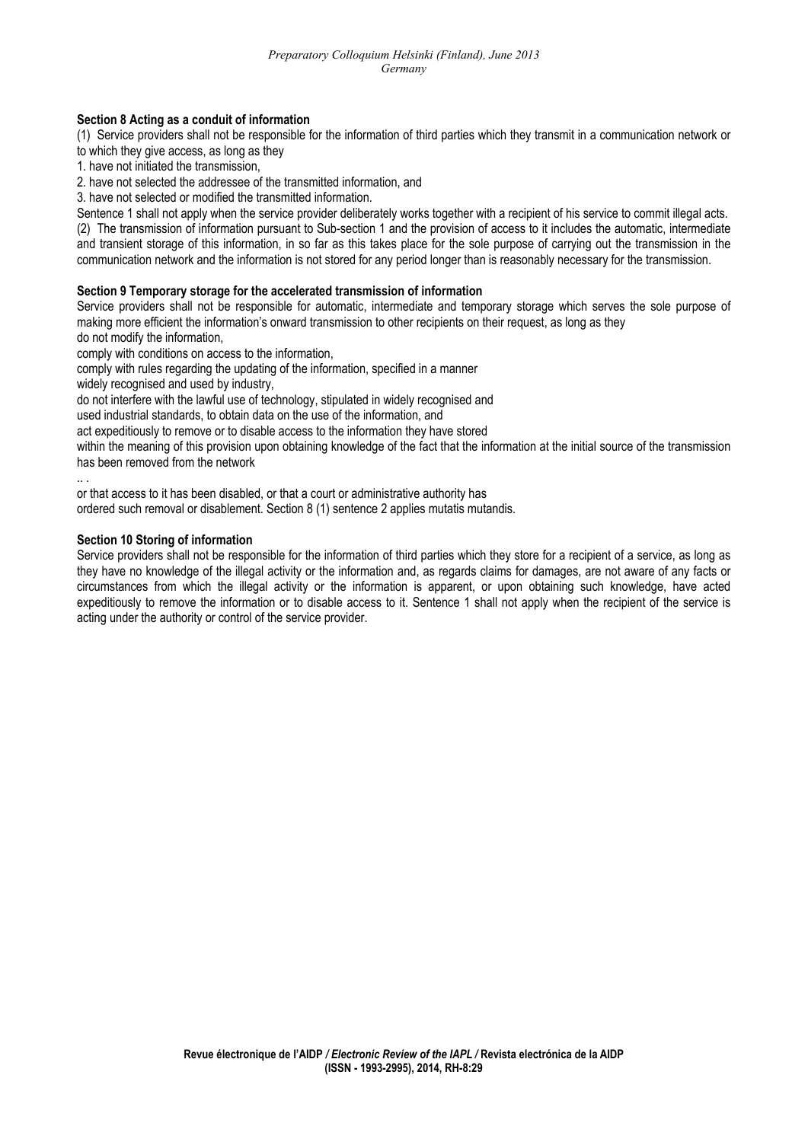#### **Section 8 Acting as a conduit of information**

(1) Service providers shall not be responsible for the information of third parties which they transmit in a communication network or to which they give access, as long as they

1. have not initiated the transmission,

2. have not selected the addressee of the transmitted information, and

3. have not selected or modified the transmitted information.

Sentence 1 shall not apply when the service provider deliberately works together with a recipient of his service to commit illegal acts. (2) The transmission of information pursuant to Sub-section 1 and the provision of access to it includes the automatic, intermediate and transient storage of this information, in so far as this takes place for the sole purpose of carrying out the transmission in the communication network and the information is not stored for any period longer than is reasonably necessary for the transmission.

#### **Section 9 Temporary storage for the accelerated transmission of information**

Service providers shall not be responsible for automatic, intermediate and temporary storage which serves the sole purpose of making more efficient the information's onward transmission to other recipients on their request, as long as they do not modify the information,

comply with conditions on access to the information,

comply with rules regarding the updating of the information, specified in a manner

widely recognised and used by industry.

do not interfere with the lawful use of technology, stipulated in widely recognised and

used industrial standards, to obtain data on the use of the information, and

act expeditiously to remove or to disable access to the information they have stored

within the meaning of this provision upon obtaining knowledge of the fact that the information at the initial source of the transmission has been removed from the network

.. .

or that access to it has been disabled, or that a court or administrative authority has

ordered such removal or disablement. Section 8 (1) sentence 2 applies mutatis mutandis.

#### **Section 10 Storing of information**

Service providers shall not be responsible for the information of third parties which they store for a recipient of a service, as long as they have no knowledge of the illegal activity or the information and, as regards claims for damages, are not aware of any facts or circumstances from which the illegal activity or the information is apparent, or upon obtaining such knowledge, have acted expeditiously to remove the information or to disable access to it. Sentence 1 shall not apply when the recipient of the service is acting under the authority or control of the service provider.